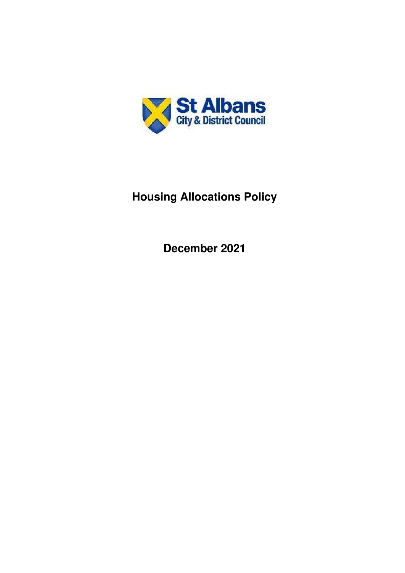

# **Housing Allocations Policy**

**December 2021**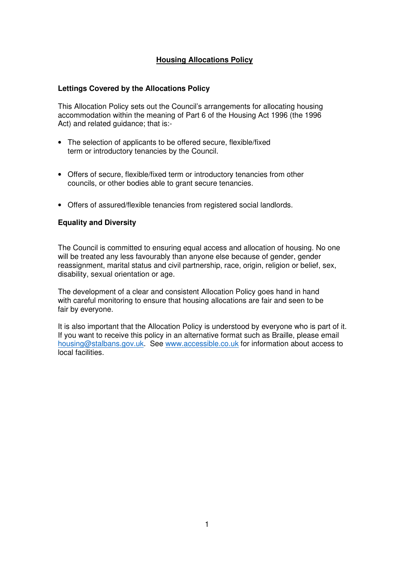# **Housing Allocations Policy**

#### **Lettings Covered by the Allocations Policy**

This Allocation Policy sets out the Council's arrangements for allocating housing accommodation within the meaning of Part 6 of the Housing Act 1996 (the 1996 Act) and related guidance; that is:-

- The selection of applicants to be offered secure, flexible/fixed term or introductory tenancies by the Council.
- Offers of secure, flexible/fixed term or introductory tenancies from other councils, or other bodies able to grant secure tenancies.
- Offers of assured/flexible tenancies from registered social landlords.

## **Equality and Diversity**

The Council is committed to ensuring equal access and allocation of housing. No one will be treated any less favourably than anyone else because of gender, gender reassignment, marital status and civil partnership, race, origin, religion or belief, sex, disability, sexual orientation or age.

The development of a clear and consistent Allocation Policy goes hand in hand with careful monitoring to ensure that housing allocations are fair and seen to be fair by everyone.

It is also important that the Allocation Policy is understood by everyone who is part of it. If you want to receive this policy in an alternative format such as Braille, please email housing@stalbans.gov.uk. See www.accessible.co.uk for information about access to local facilities.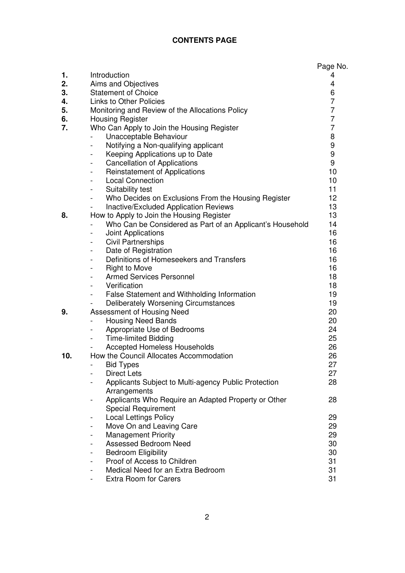# **CONTENTS PAGE**

|          |                                                                       | Page No.            |
|----------|-----------------------------------------------------------------------|---------------------|
| 1.       | Introduction                                                          | 4                   |
| 2.       | Aims and Objectives                                                   | 4                   |
| 3.       | <b>Statement of Choice</b>                                            | 6                   |
| 4.       | <b>Links to Other Policies</b>                                        | 7                   |
| 5.       | Monitoring and Review of the Allocations Policy                       | 7<br>$\overline{7}$ |
| 6.<br>7. | <b>Housing Register</b>                                               | 7                   |
|          | Who Can Apply to Join the Housing Register                            |                     |
|          | Unacceptable Behaviour                                                | 8                   |
|          | Notifying a Non-qualifying applicant                                  | 9<br>9              |
|          | Keeping Applications up to Date                                       | 9                   |
|          | <b>Cancellation of Applications</b><br>$\overline{\phantom{0}}$       | 10                  |
|          | <b>Reinstatement of Applications</b><br>-<br><b>Local Connection</b>  | 10                  |
|          | Suitability test<br>-                                                 | 11                  |
|          | Who Decides on Exclusions From the Housing Register<br>$\overline{a}$ | 12                  |
|          | Inactive/Excluded Application Reviews                                 | 13                  |
| 8.       | How to Apply to Join the Housing Register                             | 13                  |
|          | Who Can be Considered as Part of an Applicant's Household             | 14                  |
|          | Joint Applications<br>-                                               | 16                  |
|          | <b>Civil Partnerships</b><br>$\overline{\phantom{0}}$                 | 16                  |
|          | Date of Registration<br>$\qquad \qquad \blacksquare$                  | 16                  |
|          | Definitions of Homeseekers and Transfers<br>$\overline{\phantom{0}}$  | 16                  |
|          | <b>Right to Move</b><br>-                                             | 16                  |
|          | <b>Armed Services Personnel</b>                                       | 18                  |
|          | Verification                                                          | 18                  |
|          | False Statement and Withholding Information                           | 19                  |
|          | Deliberately Worsening Circumstances                                  | 19                  |
| 9.       | Assessment of Housing Need                                            | 20                  |
|          | <b>Housing Need Bands</b>                                             | 20                  |
|          | Appropriate Use of Bedrooms                                           | 24                  |
|          | <b>Time-limited Bidding</b><br>$\overline{\phantom{0}}$               | 25                  |
|          | <b>Accepted Homeless Households</b>                                   | 26                  |
| 10.      | How the Council Allocates Accommodation                               | 26                  |
|          | <b>Bid Types</b>                                                      | 27                  |
|          | <b>Direct Lets</b><br>-                                               | 27                  |
|          | Applicants Subject to Multi-agency Public Protection                  | 28                  |
|          | Arrangements                                                          |                     |
|          | Applicants Who Require an Adapted Property or Other<br>-              | 28                  |
|          | <b>Special Requirement</b>                                            |                     |
|          | <b>Local Lettings Policy</b><br>-                                     | 29                  |
|          | Move On and Leaving Care<br>$\overline{\phantom{0}}$                  | 29                  |
|          | <b>Management Priority</b><br>$\overline{\phantom{0}}$                | 29                  |
|          | <b>Assessed Bedroom Need</b>                                          | 30                  |
|          | <b>Bedroom Eligibility</b>                                            | 30                  |
|          | Proof of Access to Children                                           | 31                  |
|          | Medical Need for an Extra Bedroom                                     | 31                  |
|          | <b>Extra Room for Carers</b>                                          | 31                  |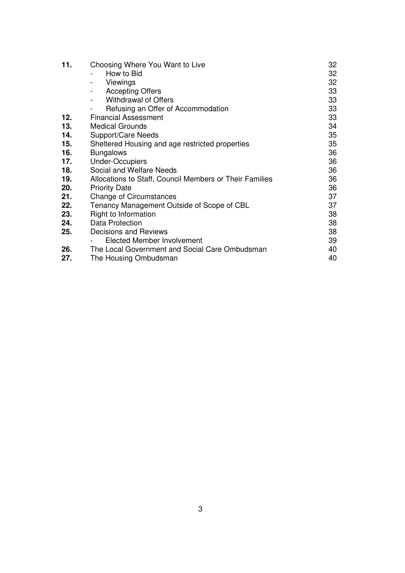| 11. | Choosing Where You Want to Live                         | 32 |
|-----|---------------------------------------------------------|----|
|     | How to Bid                                              | 32 |
|     | Viewings                                                | 32 |
|     | <b>Accepting Offers</b><br>$\overline{\phantom{0}}$     | 33 |
|     | <b>Withdrawal of Offers</b><br>$\blacksquare$           | 33 |
|     | Refusing an Offer of Accommodation                      | 33 |
| 12. | <b>Financial Assessment</b>                             | 33 |
| 13. | <b>Medical Grounds</b>                                  | 34 |
| 14. | Support/Care Needs                                      | 35 |
| 15. | Sheltered Housing and age restricted properties         | 35 |
| 16. | <b>Bungalows</b>                                        | 36 |
| 17. | <b>Under-Occupiers</b>                                  | 36 |
| 18. | Social and Welfare Needs                                | 36 |
| 19. | Allocations to Staff, Council Members or Their Families | 36 |
| 20. | <b>Priority Date</b>                                    | 36 |
| 21. | <b>Change of Circumstances</b>                          | 37 |
| 22. | Tenancy Management Outside of Scope of CBL              | 37 |
| 23. | Right to Information                                    | 38 |
| 24. | Data Protection                                         | 38 |
| 25. | Decisions and Reviews                                   | 38 |
|     | Elected Member Involvement                              | 39 |
| 26. | The Local Government and Social Care Ombudsman          | 40 |
| 27. | The Housing Ombudsman                                   | 40 |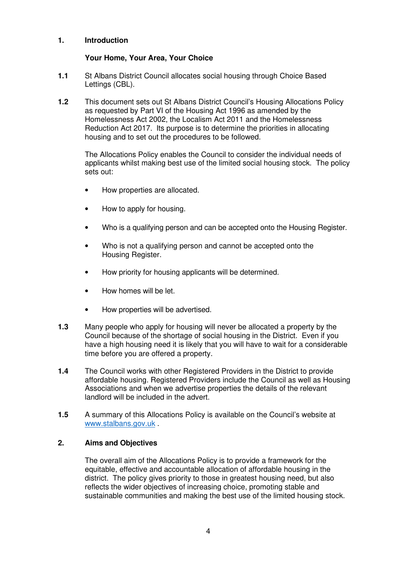## **1. Introduction**

# **Your Home, Your Area, Your Choice**

- **1.1** St Albans District Council allocates social housing through Choice Based Lettings (CBL).
- **1.2** This document sets out St Albans District Council's Housing Allocations Policy as requested by Part VI of the Housing Act 1996 as amended by the Homelessness Act 2002, the Localism Act 2011 and the Homelessness Reduction Act 2017. Its purpose is to determine the priorities in allocating housing and to set out the procedures to be followed.

The Allocations Policy enables the Council to consider the individual needs of applicants whilst making best use of the limited social housing stock. The policy sets out:

- How properties are allocated.
- How to apply for housing.
- Who is a qualifying person and can be accepted onto the Housing Register.
- Who is not a qualifying person and cannot be accepted onto the Housing Register.
- How priority for housing applicants will be determined.
- How homes will be let.
- How properties will be advertised.
- **1.3** Many people who apply for housing will never be allocated a property by the Council because of the shortage of social housing in the District. Even if you have a high housing need it is likely that you will have to wait for a considerable time before you are offered a property.
- **1.4** The Council works with other Registered Providers in the District to provide affordable housing. Registered Providers include the Council as well as Housing Associations and when we advertise properties the details of the relevant landlord will be included in the advert.
- **1.5** A summary of this Allocations Policy is available on the Council's website at www.stalbans.gov.uk .

## **2. Aims and Objectives**

The overall aim of the Allocations Policy is to provide a framework for the equitable, effective and accountable allocation of affordable housing in the district. The policy gives priority to those in greatest housing need, but also reflects the wider objectives of increasing choice, promoting stable and sustainable communities and making the best use of the limited housing stock.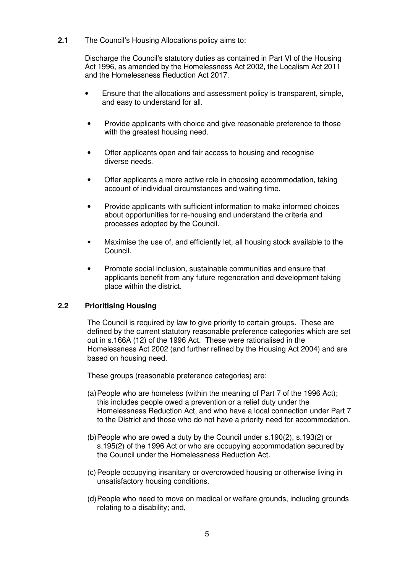**2.1** The Council's Housing Allocations policy aims to:

 Discharge the Council's statutory duties as contained in Part VI of the Housing Act 1996, as amended by the Homelessness Act 2002, the Localism Act 2011 and the Homelessness Reduction Act 2017.

- Ensure that the allocations and assessment policy is transparent, simple, and easy to understand for all.
- Provide applicants with choice and give reasonable preference to those with the greatest housing need.
- Offer applicants open and fair access to housing and recognise diverse needs.
- Offer applicants a more active role in choosing accommodation, taking account of individual circumstances and waiting time.
- Provide applicants with sufficient information to make informed choices about opportunities for re-housing and understand the criteria and processes adopted by the Council.
- Maximise the use of, and efficiently let, all housing stock available to the Council.
- Promote social inclusion, sustainable communities and ensure that applicants benefit from any future regeneration and development taking place within the district.

## **2.2 Prioritising Housing**

The Council is required by law to give priority to certain groups. These are defined by the current statutory reasonable preference categories which are set out in s.166A (12) of the 1996 Act. These were rationalised in the Homelessness Act 2002 (and further refined by the Housing Act 2004) and are based on housing need.

These groups (reasonable preference categories) are:

- (a) People who are homeless (within the meaning of Part 7 of the 1996 Act); this includes people owed a prevention or a relief duty under the Homelessness Reduction Act, and who have a local connection under Part 7 to the District and those who do not have a priority need for accommodation.
- (b) People who are owed a duty by the Council under s.190(2), s.193(2) or s.195(2) of the 1996 Act or who are occupying accommodation secured by the Council under the Homelessness Reduction Act.
- (c) People occupying insanitary or overcrowded housing or otherwise living in unsatisfactory housing conditions.
- (d) People who need to move on medical or welfare grounds, including grounds relating to a disability; and,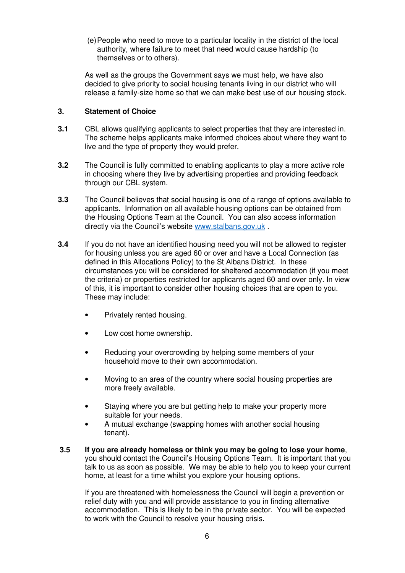(e) People who need to move to a particular locality in the district of the local authority, where failure to meet that need would cause hardship (to themselves or to others).

As well as the groups the Government says we must help, we have also decided to give priority to social housing tenants living in our district who will release a family-size home so that we can make best use of our housing stock.

## **3. Statement of Choice**

- **3.1** CBL allows qualifying applicants to select properties that they are interested in. The scheme helps applicants make informed choices about where they want to live and the type of property they would prefer.
- **3.2** The Council is fully committed to enabling applicants to play a more active role in choosing where they live by advertising properties and providing feedback through our CBL system.
- **3.3** The Council believes that social housing is one of a range of options available to applicants. Information on all available housing options can be obtained from the Housing Options Team at the Council. You can also access information directly via the Council's website www.stalbans.gov.uk .
- **3.4** If you do not have an identified housing need you will not be allowed to register for housing unless you are aged 60 or over and have a Local Connection (as defined in this Allocations Policy) to the St Albans District. In these circumstances you will be considered for sheltered accommodation (if you meet the criteria) or properties restricted for applicants aged 60 and over only. In view of this, it is important to consider other housing choices that are open to you. These may include:
	- Privately rented housing.
	- Low cost home ownership.
	- Reducing your overcrowding by helping some members of your household move to their own accommodation.
	- Moving to an area of the country where social housing properties are more freely available.
	- Staying where you are but getting help to make your property more suitable for your needs.
	- A mutual exchange (swapping homes with another social housing tenant).
- **3.5 If you are already homeless or think you may be going to lose your home**, you should contact the Council's Housing Options Team. It is important that you talk to us as soon as possible. We may be able to help you to keep your current home, at least for a time whilst you explore your housing options.

 If you are threatened with homelessness the Council will begin a prevention or relief duty with you and will provide assistance to you in finding alternative accommodation. This is likely to be in the private sector. You will be expected to work with the Council to resolve your housing crisis.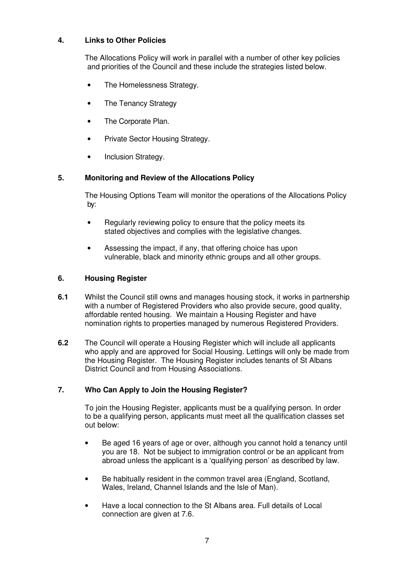# **4. Links to Other Policies**

The Allocations Policy will work in parallel with a number of other key policies and priorities of the Council and these include the strategies listed below.

- The Homelessness Strategy.
- The Tenancy Strategy
- The Corporate Plan.
- Private Sector Housing Strategy.
- Inclusion Strategy.

# **5. Monitoring and Review of the Allocations Policy**

The Housing Options Team will monitor the operations of the Allocations Policy by:

- Regularly reviewing policy to ensure that the policy meets its stated objectives and complies with the legislative changes.
- Assessing the impact, if any, that offering choice has upon vulnerable, black and minority ethnic groups and all other groups.

## **6. Housing Register**

- **6.1** Whilst the Council still owns and manages housing stock, it works in partnership with a number of Registered Providers who also provide secure, good quality, affordable rented housing. We maintain a Housing Register and have nomination rights to properties managed by numerous Registered Providers.
- **6.2** The Council will operate a Housing Register which will include all applicants who apply and are approved for Social Housing. Lettings will only be made from the Housing Register. The Housing Register includes tenants of St Albans District Council and from Housing Associations.

# **7. Who Can Apply to Join the Housing Register?**

To join the Housing Register, applicants must be a qualifying person. In order to be a qualifying person, applicants must meet all the qualification classes set out below:

- Be aged 16 years of age or over, although you cannot hold a tenancy until you are 18. Not be subject to immigration control or be an applicant from abroad unless the applicant is a 'qualifying person' as described by law.
- Be habitually resident in the common travel area (England, Scotland, Wales, Ireland, Channel Islands and the Isle of Man).
- Have a local connection to the St Albans area. Full details of Local connection are given at 7.6.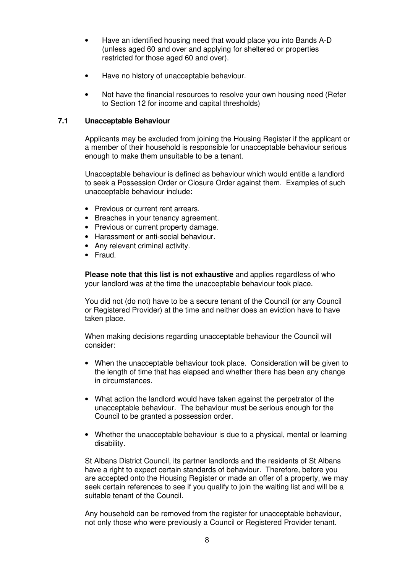- Have an identified housing need that would place you into Bands A-D (unless aged 60 and over and applying for sheltered or properties restricted for those aged 60 and over).
- Have no history of unacceptable behaviour.
- Not have the financial resources to resolve your own housing need (Refer to Section 12 for income and capital thresholds)

## **7.1 Unacceptable Behaviour**

Applicants may be excluded from joining the Housing Register if the applicant or a member of their household is responsible for unacceptable behaviour serious enough to make them unsuitable to be a tenant.

Unacceptable behaviour is defined as behaviour which would entitle a landlord to seek a Possession Order or Closure Order against them. Examples of such unacceptable behaviour include:

- Previous or current rent arrears.
- Breaches in your tenancy agreement.
- Previous or current property damage.
- Harassment or anti-social behaviour.
- Any relevant criminal activity.
- Fraud.

**Please note that this list is not exhaustive** and applies regardless of who your landlord was at the time the unacceptable behaviour took place.

You did not (do not) have to be a secure tenant of the Council (or any Council or Registered Provider) at the time and neither does an eviction have to have taken place.

When making decisions regarding unacceptable behaviour the Council will consider:

- When the unacceptable behaviour took place. Consideration will be given to the length of time that has elapsed and whether there has been any change in circumstances.
- What action the landlord would have taken against the perpetrator of the unacceptable behaviour. The behaviour must be serious enough for the Council to be granted a possession order.
- Whether the unacceptable behaviour is due to a physical, mental or learning disability.

St Albans District Council, its partner landlords and the residents of St Albans have a right to expect certain standards of behaviour. Therefore, before you are accepted onto the Housing Register or made an offer of a property, we may seek certain references to see if you qualify to join the waiting list and will be a suitable tenant of the Council.

Any household can be removed from the register for unacceptable behaviour, not only those who were previously a Council or Registered Provider tenant.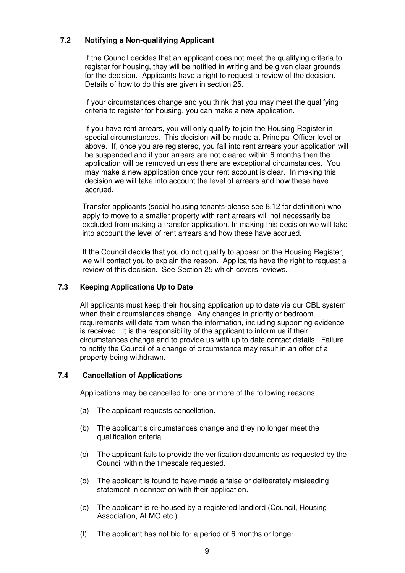# **7.2 Notifying a Non-qualifying Applicant**

If the Council decides that an applicant does not meet the qualifying criteria to register for housing, they will be notified in writing and be given clear grounds for the decision. Applicants have a right to request a review of the decision. Details of how to do this are given in section 25.

If your circumstances change and you think that you may meet the qualifying criteria to register for housing, you can make a new application.

If you have rent arrears, you will only qualify to join the Housing Register in special circumstances. This decision will be made at Principal Officer level or above. If, once you are registered, you fall into rent arrears your application will be suspended and if your arrears are not cleared within 6 months then the application will be removed unless there are exceptional circumstances. You may make a new application once your rent account is clear. In making this decision we will take into account the level of arrears and how these have accrued.

Transfer applicants (social housing tenants-please see 8.12 for definition) who apply to move to a smaller property with rent arrears will not necessarily be excluded from making a transfer application. In making this decision we will take into account the level of rent arrears and how these have accrued.

If the Council decide that you do not qualify to appear on the Housing Register, we will contact you to explain the reason. Applicants have the right to request a review of this decision. See Section 25 which covers reviews.

# **7.3 Keeping Applications Up to Date**

All applicants must keep their housing application up to date via our CBL system when their circumstances change. Any changes in priority or bedroom requirements will date from when the information, including supporting evidence is received. It is the responsibility of the applicant to inform us if their circumstances change and to provide us with up to date contact details. Failure to notify the Council of a change of circumstance may result in an offer of a property being withdrawn.

# **7.4 Cancellation of Applications**

Applications may be cancelled for one or more of the following reasons:

- (a) The applicant requests cancellation.
- (b) The applicant's circumstances change and they no longer meet the qualification criteria.
- (c) The applicant fails to provide the verification documents as requested by the Council within the timescale requested.
- (d) The applicant is found to have made a false or deliberately misleading statement in connection with their application.
- (e) The applicant is re-housed by a registered landlord (Council, Housing Association, ALMO etc.)
- (f) The applicant has not bid for a period of 6 months or longer.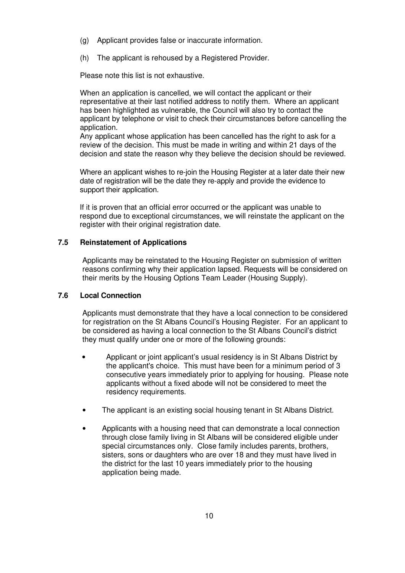- (g) Applicant provides false or inaccurate information.
- (h) The applicant is rehoused by a Registered Provider.

Please note this list is not exhaustive.

When an application is cancelled, we will contact the applicant or their representative at their last notified address to notify them. Where an applicant has been highlighted as vulnerable, the Council will also try to contact the applicant by telephone or visit to check their circumstances before cancelling the application.

Any applicant whose application has been cancelled has the right to ask for a review of the decision. This must be made in writing and within 21 days of the decision and state the reason why they believe the decision should be reviewed.

Where an applicant wishes to re-join the Housing Register at a later date their new date of registration will be the date they re-apply and provide the evidence to support their application.

If it is proven that an official error occurred or the applicant was unable to respond due to exceptional circumstances, we will reinstate the applicant on the register with their original registration date.

#### **7.5 Reinstatement of Applications**

Applicants may be reinstated to the Housing Register on submission of written reasons confirming why their application lapsed. Requests will be considered on their merits by the Housing Options Team Leader (Housing Supply).

#### **7.6 Local Connection**

Applicants must demonstrate that they have a local connection to be considered for registration on the St Albans Council's Housing Register. For an applicant to be considered as having a local connection to the St Albans Council's district they must qualify under one or more of the following grounds:

- Applicant or joint applicant's usual residency is in St Albans District by the applicant's choice. This must have been for a minimum period of 3 consecutive years immediately prior to applying for housing. Please note applicants without a fixed abode will not be considered to meet the residency requirements.
- The applicant is an existing social housing tenant in St Albans District.
- Applicants with a housing need that can demonstrate a local connection through close family living in St Albans will be considered eligible under special circumstances only. Close family includes parents, brothers, sisters, sons or daughters who are over 18 and they must have lived in the district for the last 10 years immediately prior to the housing application being made.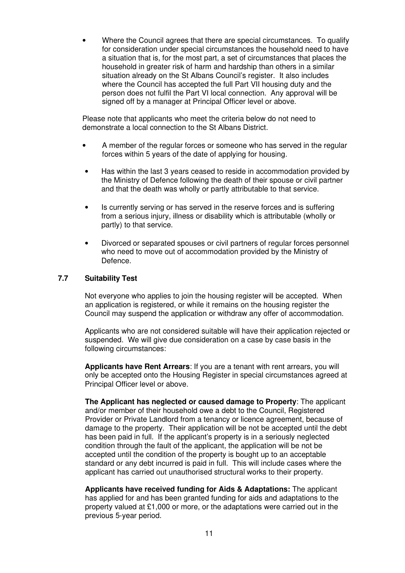• Where the Council agrees that there are special circumstances. To qualify for consideration under special circumstances the household need to have a situation that is, for the most part, a set of circumstances that places the household in greater risk of harm and hardship than others in a similar situation already on the St Albans Council's register. It also includes where the Council has accepted the full Part VII housing duty and the person does not fulfil the Part VI local connection. Any approval will be signed off by a manager at Principal Officer level or above.

Please note that applicants who meet the criteria below do not need to demonstrate a local connection to the St Albans District.

- A member of the regular forces or someone who has served in the regular forces within 5 years of the date of applying for housing.
- Has within the last 3 years ceased to reside in accommodation provided by the Ministry of Defence following the death of their spouse or civil partner and that the death was wholly or partly attributable to that service.
- Is currently serving or has served in the reserve forces and is suffering from a serious injury, illness or disability which is attributable (wholly or partly) to that service.
- Divorced or separated spouses or civil partners of regular forces personnel who need to move out of accommodation provided by the Ministry of Defence.

## **7.7 Suitability Test**

Not everyone who applies to join the housing register will be accepted. When an application is registered, or while it remains on the housing register the Council may suspend the application or withdraw any offer of accommodation.

Applicants who are not considered suitable will have their application rejected or suspended. We will give due consideration on a case by case basis in the following circumstances:

**Applicants have Rent Arrears**: If you are a tenant with rent arrears, you will only be accepted onto the Housing Register in special circumstances agreed at Principal Officer level or above.

**The Applicant has neglected or caused damage to Property**: The applicant and/or member of their household owe a debt to the Council, Registered Provider or Private Landlord from a tenancy or licence agreement, because of damage to the property. Their application will be not be accepted until the debt has been paid in full. If the applicant's property is in a seriously neglected condition through the fault of the applicant, the application will be not be accepted until the condition of the property is bought up to an acceptable standard or any debt incurred is paid in full. This will include cases where the applicant has carried out unauthorised structural works to their property.

**Applicants have received funding for Aids & Adaptations:** The applicant has applied for and has been granted funding for aids and adaptations to the property valued at £1,000 or more, or the adaptations were carried out in the previous 5-year period.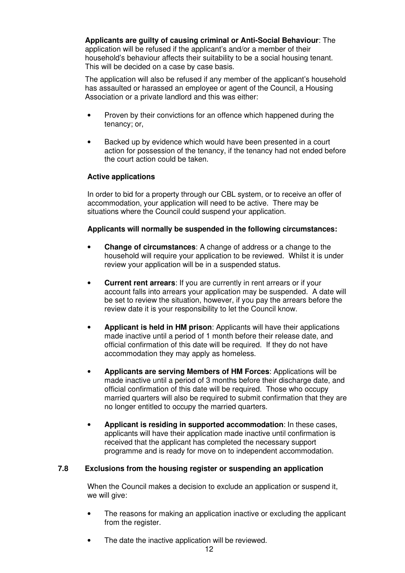**Applicants are guilty of causing criminal or Anti-Social Behaviour**: The application will be refused if the applicant's and/or a member of their household's behaviour affects their suitability to be a social housing tenant. This will be decided on a case by case basis.

The application will also be refused if any member of the applicant's household has assaulted or harassed an employee or agent of the Council, a Housing Association or a private landlord and this was either:

- Proven by their convictions for an offence which happened during the tenancy; or,
- Backed up by evidence which would have been presented in a court action for possession of the tenancy, if the tenancy had not ended before the court action could be taken.

## **Active applications**

In order to bid for a property through our CBL system, or to receive an offer of accommodation, your application will need to be active. There may be situations where the Council could suspend your application.

## **Applicants will normally be suspended in the following circumstances:**

- **Change of circumstances**: A change of address or a change to the household will require your application to be reviewed. Whilst it is under review your application will be in a suspended status.
- **Current rent arrears**: If you are currently in rent arrears or if your account falls into arrears your application may be suspended. A date will be set to review the situation, however, if you pay the arrears before the review date it is your responsibility to let the Council know.
- **Applicant is held in HM prison**: Applicants will have their applications made inactive until a period of 1 month before their release date, and official confirmation of this date will be required. If they do not have accommodation they may apply as homeless.
- **Applicants are serving Members of HM Forces**: Applications will be made inactive until a period of 3 months before their discharge date, and official confirmation of this date will be required. Those who occupy married quarters will also be required to submit confirmation that they are no longer entitled to occupy the married quarters.
- **Applicant is residing in supported accommodation**: In these cases, applicants will have their application made inactive until confirmation is received that the applicant has completed the necessary support programme and is ready for move on to independent accommodation.

## **7.8 Exclusions from the housing register or suspending an application**

When the Council makes a decision to exclude an application or suspend it, we will give:

- The reasons for making an application inactive or excluding the applicant from the register.
- The date the inactive application will be reviewed.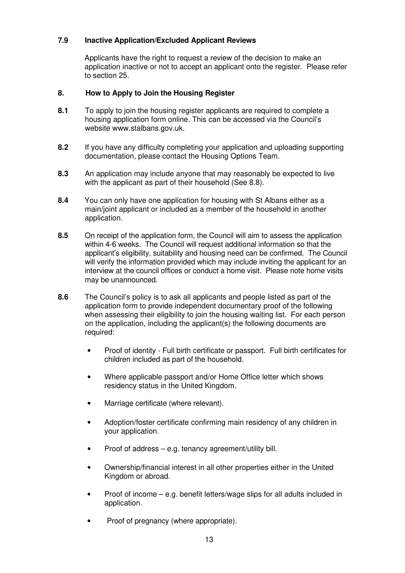# **7.9 Inactive Application/Excluded Applicant Reviews**

Applicants have the right to request a review of the decision to make an application inactive or not to accept an applicant onto the register. Please refer to section 25.

## **8. How to Apply to Join the Housing Register**

- **8.1** To apply to join the housing register applicants are required to complete a housing application form online. This can be accessed via the Council's website www.stalbans.gov.uk.
- **8.2** If you have any difficulty completing your application and uploading supporting documentation, please contact the Housing Options Team.
- **8.3** An application may include anyone that may reasonably be expected to live with the applicant as part of their household (See 8.8).
- **8.4** You can only have one application for housing with St Albans either as a main/joint applicant or included as a member of the household in another application.
- **8.5** On receipt of the application form, the Council will aim to assess the application within 4-6 weeks. The Council will request additional information so that the applicant's eligibility, suitability and housing need can be confirmed. The Council will verify the information provided which may include inviting the applicant for an interview at the council offices or conduct a home visit. Please note home visits may be unannounced.
- **8.6** The Council's policy is to ask all applicants and people listed as part of the application form to provide independent documentary proof of the following when assessing their eligibility to join the housing waiting list. For each person on the application, including the applicant(s) the following documents are required:
	- Proof of identity Full birth certificate or passport. Full birth certificates for children included as part of the household.
	- Where applicable passport and/or Home Office letter which shows residency status in the United Kingdom.
	- Marriage certificate (where relevant).
	- Adoption/foster certificate confirming main residency of any children in your application.
	- Proof of address e.g. tenancy agreement/utility bill.
	- Ownership/financial interest in all other properties either in the United Kingdom or abroad.
	- Proof of income e.g. benefit letters/wage slips for all adults included in application.
	- Proof of pregnancy (where appropriate).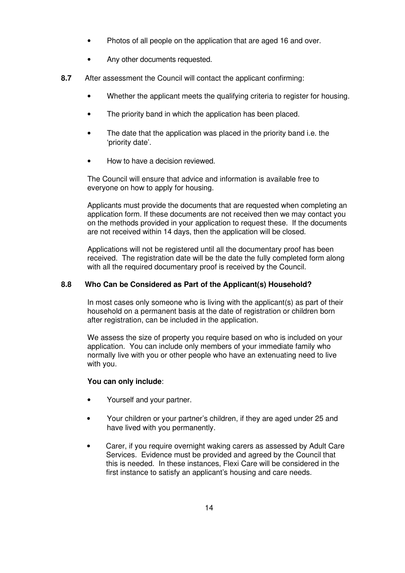- Photos of all people on the application that are aged 16 and over.
- Any other documents requested.
- **8.7** After assessment the Council will contact the applicant confirming:
	- Whether the applicant meets the qualifying criteria to register for housing.
	- The priority band in which the application has been placed.
	- The date that the application was placed in the priority band i.e. the 'priority date'.
	- How to have a decision reviewed.

The Council will ensure that advice and information is available free to everyone on how to apply for housing.

Applicants must provide the documents that are requested when completing an application form. If these documents are not received then we may contact you on the methods provided in your application to request these. If the documents are not received within 14 days, then the application will be closed.

Applications will not be registered until all the documentary proof has been received. The registration date will be the date the fully completed form along with all the required documentary proof is received by the Council.

## **8.8 Who Can be Considered as Part of the Applicant(s) Household?**

In most cases only someone who is living with the applicant(s) as part of their household on a permanent basis at the date of registration or children born after registration, can be included in the application.

We assess the size of property you require based on who is included on your application. You can include only members of your immediate family who normally live with you or other people who have an extenuating need to live with you.

## **You can only include**:

- Yourself and your partner.
- Your children or your partner's children, if they are aged under 25 and have lived with you permanently.
- Carer, if you require overnight waking carers as assessed by Adult Care Services. Evidence must be provided and agreed by the Council that this is needed. In these instances, Flexi Care will be considered in the first instance to satisfy an applicant's housing and care needs.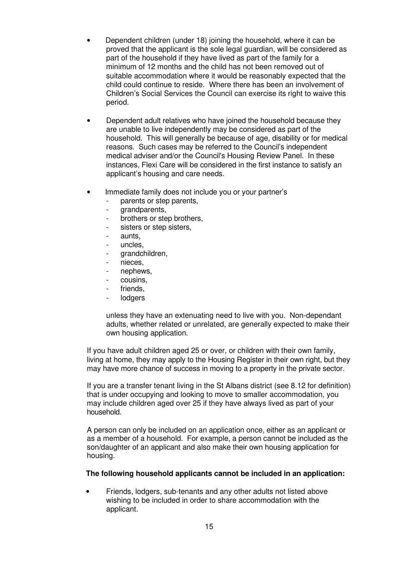- Dependent children (under 18) joining the household, where it can be proved that the applicant is the sole legal guardian, will be considered as part of the household if they have lived as part of the family for a minimum of 12 months and the child has not been removed out of suitable accommodation where it would be reasonably expected that the child could continue to reside. Where there has been an involvement of Children's Social Services the Council can exercise its right to waive this period.
- Dependent adult relatives who have joined the household because they are unable to live independently may be considered as part of the household. This will generally be because of age, disability or for medical reasons. Such cases may be referred to the Council's independent medical adviser and/or the Council's Housing Review Panel. In these instances, Flexi Care will be considered in the first instance to satisfy an applicant's housing and care needs.
- Immediate family does not include you or your partner's
	- parents or step parents.
	- grandparents,
	- brothers or step brothers,
	- sisters or step sisters,
	- aunts.
	- uncles.
	- grandchildren,
	- nieces,
	- nephews.
	- cousins,
	- friends.
	- **lodgers**

unless they have an extenuating need to live with you. Non-dependant adults, whether related or unrelated, are generally expected to make their own housing application.

If you have adult children aged 25 or over, or children with their own family, living at home, they may apply to the Housing Register in their own right, but they may have more chance of success in moving to a property in the private sector.

If you are a transfer tenant living in the St Albans district (see 8.12 for definition) that is under occupying and looking to move to smaller accommodation, you may include children aged over 25 if they have always lived as part of your household.

A person can only be included on an application once, either as an applicant or as a member of a household. For example, a person cannot be included as the son/daughter of an applicant and also make their own housing application for housing.

#### **The following household applicants cannot be included in an application:**

• Friends, lodgers, sub-tenants and any other adults not listed above wishing to be included in order to share accommodation with the applicant.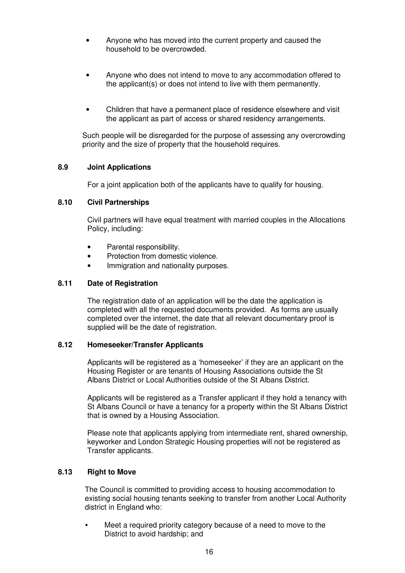- Anyone who has moved into the current property and caused the household to be overcrowded.
- Anyone who does not intend to move to any accommodation offered to the applicant(s) or does not intend to live with them permanently.
- Children that have a permanent place of residence elsewhere and visit the applicant as part of access or shared residency arrangements.

Such people will be disregarded for the purpose of assessing any overcrowding priority and the size of property that the household requires.

## **8.9 Joint Applications**

For a joint application both of the applicants have to qualify for housing.

#### **8.10 Civil Partnerships**

Civil partners will have equal treatment with married couples in the Allocations Policy, including:

- Parental responsibility.
- Protection from domestic violence.
- Immigration and nationality purposes.

#### **8.11 Date of Registration**

The registration date of an application will be the date the application is completed with all the requested documents provided. As forms are usually completed over the internet, the date that all relevant documentary proof is supplied will be the date of registration.

#### **8.12 Homeseeker/Transfer Applicants**

Applicants will be registered as a 'homeseeker' if they are an applicant on the Housing Register or are tenants of Housing Associations outside the St Albans District or Local Authorities outside of the St Albans District.

Applicants will be registered as a Transfer applicant if they hold a tenancy with St Albans Council or have a tenancy for a property within the St Albans District that is owned by a Housing Association.

Please note that applicants applying from intermediate rent, shared ownership, keyworker and London Strategic Housing properties will not be registered as Transfer applicants.

#### **8.13 Right to Move**

The Council is committed to providing access to housing accommodation to existing social housing tenants seeking to transfer from another Local Authority district in England who:

 Meet a required priority category because of a need to move to the District to avoid hardship; and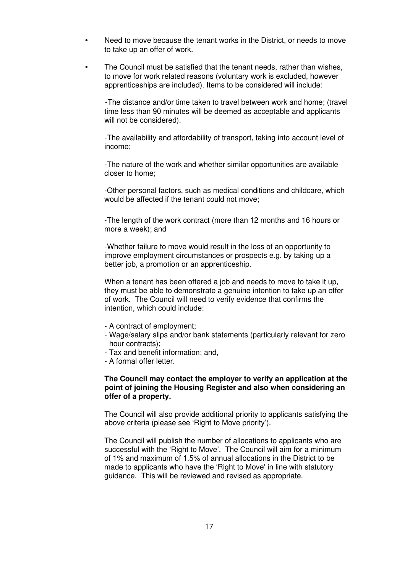- Need to move because the tenant works in the District, or needs to move to take up an offer of work.
- The Council must be satisfied that the tenant needs, rather than wishes, to move for work related reasons (voluntary work is excluded, however apprenticeships are included). Items to be considered will include:

-The distance and/or time taken to travel between work and home; (travel time less than 90 minutes will be deemed as acceptable and applicants will not be considered).

-The availability and affordability of transport, taking into account level of income;

-The nature of the work and whether similar opportunities are available closer to home;

-Other personal factors, such as medical conditions and childcare, which would be affected if the tenant could not move;

-The length of the work contract (more than 12 months and 16 hours or more a week); and

-Whether failure to move would result in the loss of an opportunity to improve employment circumstances or prospects e.g. by taking up a better job, a promotion or an apprenticeship.

When a tenant has been offered a job and needs to move to take it up, they must be able to demonstrate a genuine intention to take up an offer of work. The Council will need to verify evidence that confirms the intention, which could include:

- A contract of employment;
- Wage/salary slips and/or bank statements (particularly relevant for zero hour contracts);
- Tax and benefit information; and,
- A formal offer letter.

#### **The Council may contact the employer to verify an application at the point of joining the Housing Register and also when considering an offer of a property.**

The Council will also provide additional priority to applicants satisfying the above criteria (please see 'Right to Move priority').

The Council will publish the number of allocations to applicants who are successful with the 'Right to Move'. The Council will aim for a minimum of 1% and maximum of 1.5% of annual allocations in the District to be made to applicants who have the 'Right to Move' in line with statutory guidance. This will be reviewed and revised as appropriate.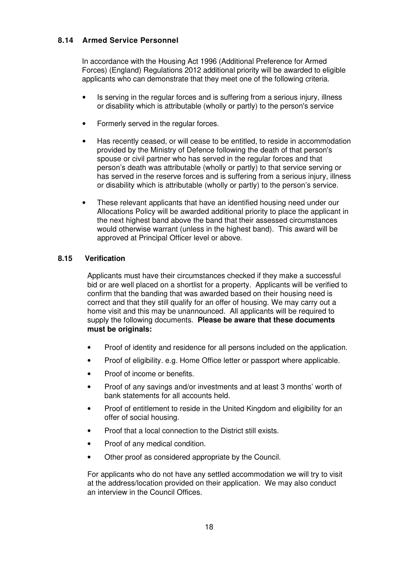## **8.14 Armed Service Personnel**

In accordance with the Housing Act 1996 (Additional Preference for Armed Forces) (England) Regulations 2012 additional priority will be awarded to eligible applicants who can demonstrate that they meet one of the following criteria.

- Is serving in the regular forces and is suffering from a serious injury, illness or disability which is attributable (wholly or partly) to the person's service
- Formerly served in the regular forces.
- Has recently ceased, or will cease to be entitled, to reside in accommodation provided by the Ministry of Defence following the death of that person's spouse or civil partner who has served in the regular forces and that person's death was attributable (wholly or partly) to that service serving or has served in the reserve forces and is suffering from a serious injury, illness or disability which is attributable (wholly or partly) to the person's service.
- These relevant applicants that have an identified housing need under our Allocations Policy will be awarded additional priority to place the applicant in the next highest band above the band that their assessed circumstances would otherwise warrant (unless in the highest band). This award will be approved at Principal Officer level or above.

## **8.15 Verification**

Applicants must have their circumstances checked if they make a successful bid or are well placed on a shortlist for a property. Applicants will be verified to confirm that the banding that was awarded based on their housing need is correct and that they still qualify for an offer of housing. We may carry out a home visit and this may be unannounced. All applicants will be required to supply the following documents. **Please be aware that these documents must be originals:**

- Proof of identity and residence for all persons included on the application.
- Proof of eligibility. e.g. Home Office letter or passport where applicable.
- Proof of income or benefits.
- Proof of any savings and/or investments and at least 3 months' worth of bank statements for all accounts held.
- Proof of entitlement to reside in the United Kingdom and eligibility for an offer of social housing.
- Proof that a local connection to the District still exists.
- Proof of any medical condition.
- Other proof as considered appropriate by the Council.

For applicants who do not have any settled accommodation we will try to visit at the address/location provided on their application. We may also conduct an interview in the Council Offices.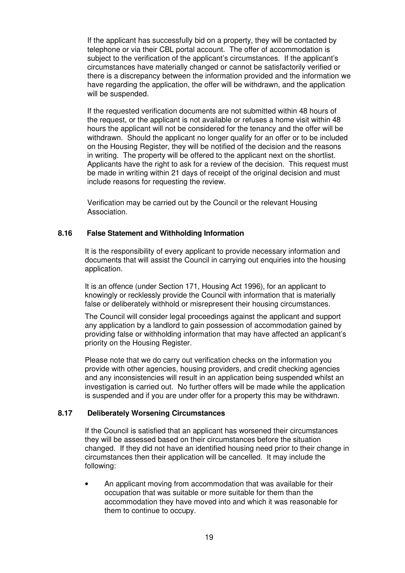If the applicant has successfully bid on a property, they will be contacted by telephone or via their CBL portal account. The offer of accommodation is subject to the verification of the applicant's circumstances. If the applicant's circumstances have materially changed or cannot be satisfactorily verified or there is a discrepancy between the information provided and the information we have regarding the application, the offer will be withdrawn, and the application will be suspended.

If the requested verification documents are not submitted within 48 hours of the request, or the applicant is not available or refuses a home visit within 48 hours the applicant will not be considered for the tenancy and the offer will be withdrawn. Should the applicant no longer qualify for an offer or to be included on the Housing Register, they will be notified of the decision and the reasons in writing. The property will be offered to the applicant next on the shortlist. Applicants have the right to ask for a review of the decision. This request must be made in writing within 21 days of receipt of the original decision and must include reasons for requesting the review.

Verification may be carried out by the Council or the relevant Housing Association.

## **8.16 False Statement and Withholding Information**

It is the responsibility of every applicant to provide necessary information and documents that will assist the Council in carrying out enquiries into the housing application.

It is an offence (under Section 171, Housing Act 1996), for an applicant to knowingly or recklessly provide the Council with information that is materially false or deliberately withhold or misrepresent their housing circumstances.

The Council will consider legal proceedings against the applicant and support any application by a landlord to gain possession of accommodation gained by providing false or withholding information that may have affected an applicant's priority on the Housing Register.

Please note that we do carry out verification checks on the information you provide with other agencies, housing providers, and credit checking agencies and any inconsistencies will result in an application being suspended whilst an investigation is carried out. No further offers will be made while the application is suspended and if you are under offer for a property this may be withdrawn.

## **8.17 Deliberately Worsening Circumstances**

If the Council is satisfied that an applicant has worsened their circumstances they will be assessed based on their circumstances before the situation changed. If they did not have an identified housing need prior to their change in circumstances then their application will be cancelled. It may include the following:

• An applicant moving from accommodation that was available for their occupation that was suitable or more suitable for them than the accommodation they have moved into and which it was reasonable for them to continue to occupy.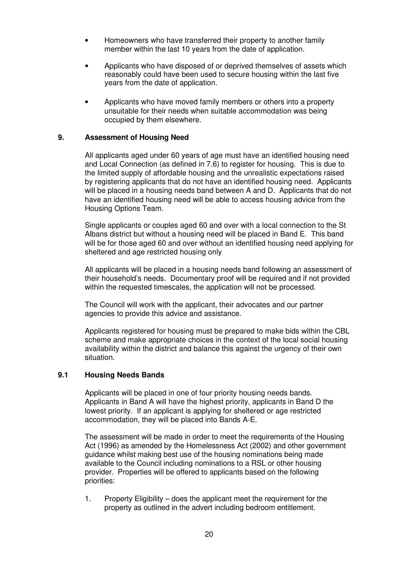- Homeowners who have transferred their property to another family member within the last 10 years from the date of application.
- Applicants who have disposed of or deprived themselves of assets which reasonably could have been used to secure housing within the last five years from the date of application.
- Applicants who have moved family members or others into a property unsuitable for their needs when suitable accommodation was being occupied by them elsewhere.

#### **9. Assessment of Housing Need**

All applicants aged under 60 years of age must have an identified housing need and Local Connection (as defined in 7.6) to register for housing. This is due to the limited supply of affordable housing and the unrealistic expectations raised by registering applicants that do not have an identified housing need. Applicants will be placed in a housing needs band between A and D. Applicants that do not have an identified housing need will be able to access housing advice from the Housing Options Team.

Single applicants or couples aged 60 and over with a local connection to the St Albans district but without a housing need will be placed in Band E. This band will be for those aged 60 and over without an identified housing need applying for sheltered and age restricted housing only

All applicants will be placed in a housing needs band following an assessment of their household's needs. Documentary proof will be required and if not provided within the requested timescales, the application will not be processed.

The Council will work with the applicant, their advocates and our partner agencies to provide this advice and assistance.

Applicants registered for housing must be prepared to make bids within the CBL scheme and make appropriate choices in the context of the local social housing availability within the district and balance this against the urgency of their own situation.

## **9.1 Housing Needs Bands**

Applicants will be placed in one of four priority housing needs bands. Applicants in Band A will have the highest priority, applicants in Band D the lowest priority. If an applicant is applying for sheltered or age restricted accommodation, they will be placed into Bands A-E.

The assessment will be made in order to meet the requirements of the Housing Act (1996) as amended by the Homelessness Act (2002) and other government guidance whilst making best use of the housing nominations being made available to the Council including nominations to a RSL or other housing provider. Properties will be offered to applicants based on the following priorities:

1. Property Eligibility – does the applicant meet the requirement for the property as outlined in the advert including bedroom entitlement.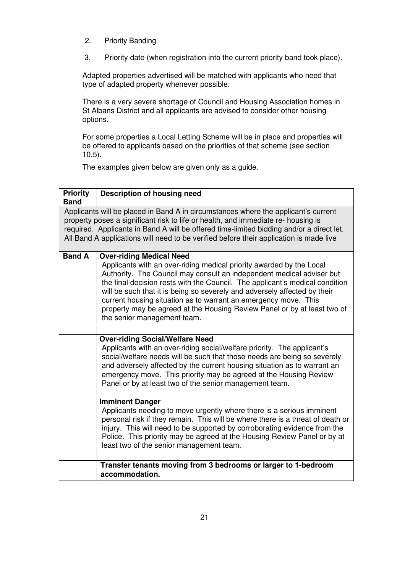- 2. Priority Banding
- 3. Priority date (when registration into the current priority band took place).

Adapted properties advertised will be matched with applicants who need that type of adapted property whenever possible.

There is a very severe shortage of Council and Housing Association homes in St Albans District and all applicants are advised to consider other housing options.

For some properties a Local Letting Scheme will be in place and properties will be offered to applicants based on the priorities of that scheme (see section 10.5).

The examples given below are given only as a guide.

| <b>Priority</b><br><b>Band</b> | <b>Description of housing need</b>                                                                                                                                                                                                                                                                                                                                                                                                                                                                                          |
|--------------------------------|-----------------------------------------------------------------------------------------------------------------------------------------------------------------------------------------------------------------------------------------------------------------------------------------------------------------------------------------------------------------------------------------------------------------------------------------------------------------------------------------------------------------------------|
|                                | Applicants will be placed in Band A in circumstances where the applicant's current<br>property poses a significant risk to life or health, and immediate re- housing is<br>required. Applicants in Band A will be offered time-limited bidding and/or a direct let.<br>All Band A applications will need to be verified before their application is made live                                                                                                                                                               |
| <b>Band A</b>                  | <b>Over-riding Medical Need</b><br>Applicants with an over-riding medical priority awarded by the Local<br>Authority. The Council may consult an independent medical adviser but<br>the final decision rests with the Council. The applicant's medical condition<br>will be such that it is being so severely and adversely affected by their<br>current housing situation as to warrant an emergency move. This<br>property may be agreed at the Housing Review Panel or by at least two of<br>the senior management team. |
|                                | <b>Over-riding Social/Welfare Need</b><br>Applicants with an over-riding social/welfare priority. The applicant's<br>social/welfare needs will be such that those needs are being so severely<br>and adversely affected by the current housing situation as to warrant an<br>emergency move. This priority may be agreed at the Housing Review<br>Panel or by at least two of the senior management team.                                                                                                                   |
|                                | <b>Imminent Danger</b><br>Applicants needing to move urgently where there is a serious imminent<br>personal risk if they remain. This will be where there is a threat of death or<br>injury. This will need to be supported by corroborating evidence from the<br>Police. This priority may be agreed at the Housing Review Panel or by at<br>least two of the senior management team.                                                                                                                                      |
|                                | Transfer tenants moving from 3 bedrooms or larger to 1-bedroom<br>accommodation.                                                                                                                                                                                                                                                                                                                                                                                                                                            |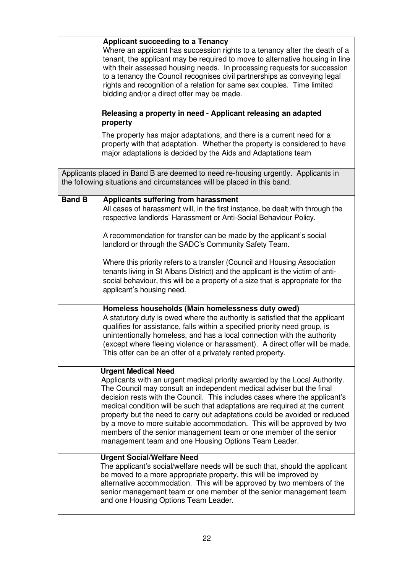|               | <b>Applicant succeeding to a Tenancy</b><br>Where an applicant has succession rights to a tenancy after the death of a<br>tenant, the applicant may be required to move to alternative housing in line<br>with their assessed housing needs. In processing requests for succession<br>to a tenancy the Council recognises civil partnerships as conveying legal<br>rights and recognition of a relation for same sex couples. Time limited<br>bidding and/or a direct offer may be made.                                                                                                                                           |  |
|---------------|------------------------------------------------------------------------------------------------------------------------------------------------------------------------------------------------------------------------------------------------------------------------------------------------------------------------------------------------------------------------------------------------------------------------------------------------------------------------------------------------------------------------------------------------------------------------------------------------------------------------------------|--|
|               | Releasing a property in need - Applicant releasing an adapted<br>property                                                                                                                                                                                                                                                                                                                                                                                                                                                                                                                                                          |  |
|               | The property has major adaptations, and there is a current need for a<br>property with that adaptation. Whether the property is considered to have<br>major adaptations is decided by the Aids and Adaptations team                                                                                                                                                                                                                                                                                                                                                                                                                |  |
|               | Applicants placed in Band B are deemed to need re-housing urgently. Applicants in<br>the following situations and circumstances will be placed in this band.                                                                                                                                                                                                                                                                                                                                                                                                                                                                       |  |
| <b>Band B</b> | <b>Applicants suffering from harassment</b><br>All cases of harassment will, in the first instance, be dealt with through the<br>respective landlords' Harassment or Anti-Social Behaviour Policy.                                                                                                                                                                                                                                                                                                                                                                                                                                 |  |
|               | A recommendation for transfer can be made by the applicant's social<br>landlord or through the SADC's Community Safety Team.                                                                                                                                                                                                                                                                                                                                                                                                                                                                                                       |  |
|               | Where this priority refers to a transfer (Council and Housing Association<br>tenants living in St Albans District) and the applicant is the victim of anti-<br>social behaviour, this will be a property of a size that is appropriate for the<br>applicant's housing need.                                                                                                                                                                                                                                                                                                                                                        |  |
|               | Homeless households (Main homelessness duty owed)<br>A statutory duty is owed where the authority is satisfied that the applicant<br>qualifies for assistance, falls within a specified priority need group, is<br>unintentionally homeless, and has a local connection with the authority<br>(except where fleeing violence or harassment). A direct offer will be made.<br>This offer can be an offer of a privately rented property.                                                                                                                                                                                            |  |
|               | <b>Urgent Medical Need</b><br>Applicants with an urgent medical priority awarded by the Local Authority.<br>The Council may consult an independent medical adviser but the final<br>decision rests with the Council. This includes cases where the applicant's<br>medical condition will be such that adaptations are required at the current<br>property but the need to carry out adaptations could be avoided or reduced<br>by a move to more suitable accommodation. This will be approved by two<br>members of the senior management team or one member of the senior<br>management team and one Housing Options Team Leader. |  |
|               | <b>Urgent Social/Welfare Need</b><br>The applicant's social/welfare needs will be such that, should the applicant<br>be moved to a more appropriate property, this will be improved by<br>alternative accommodation. This will be approved by two members of the<br>senior management team or one member of the senior management team<br>and one Housing Options Team Leader.                                                                                                                                                                                                                                                     |  |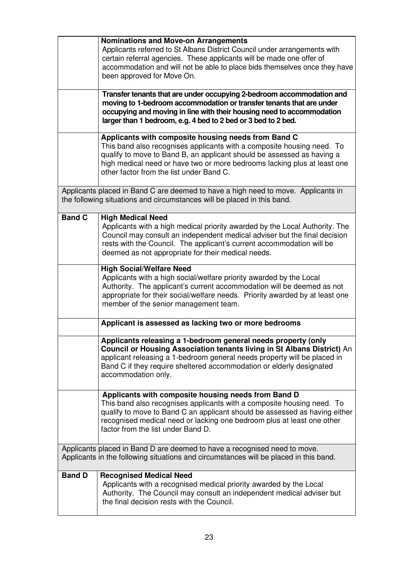|               | <b>Nominations and Move-on Arrangements</b><br>Applicants referred to St Albans District Council under arrangements with<br>certain referral agencies. These applicants will be made one offer of<br>accommodation and will not be able to place bids themselves once they have<br>been approved for Move On.<br>Transfer tenants that are under occupying 2-bedroom accommodation and |
|---------------|----------------------------------------------------------------------------------------------------------------------------------------------------------------------------------------------------------------------------------------------------------------------------------------------------------------------------------------------------------------------------------------|
|               | moving to 1-bedroom accommodation or transfer tenants that are under<br>occupying and moving in line with their housing need to accommodation<br>larger than 1 bedroom, e.g. 4 bed to 2 bed or 3 bed to 2 bed.                                                                                                                                                                         |
|               | Applicants with composite housing needs from Band C<br>This band also recognises applicants with a composite housing need. To<br>qualify to move to Band B, an applicant should be assessed as having a<br>high medical need or have two or more bedrooms lacking plus at least one<br>other factor from the list under Band C.                                                        |
|               | Applicants placed in Band C are deemed to have a high need to move. Applicants in<br>the following situations and circumstances will be placed in this band.                                                                                                                                                                                                                           |
| <b>Band C</b> | <b>High Medical Need</b><br>Applicants with a high medical priority awarded by the Local Authority. The<br>Council may consult an independent medical adviser but the final decision<br>rests with the Council. The applicant's current accommodation will be<br>deemed as not appropriate for their medical needs.                                                                    |
|               | <b>High Social/Welfare Need</b><br>Applicants with a high social/welfare priority awarded by the Local<br>Authority. The applicant's current accommodation will be deemed as not<br>appropriate for their social/welfare needs. Priority awarded by at least one<br>member of the senior management team.                                                                              |
|               | Applicant is assessed as lacking two or more bedrooms                                                                                                                                                                                                                                                                                                                                  |
|               | Applicants releasing a 1-bedroom general needs property (only<br>Council or Housing Association tenants living in St Albans District) An<br>applicant releasing a 1-bedroom general needs property will be placed in<br>Band C if they require sheltered accommodation or elderly designated<br>accommodation only.                                                                    |
|               | Applicants with composite housing needs from Band D<br>This band also recognises applicants with a composite housing need. To<br>qualify to move to Band C an applicant should be assessed as having either<br>recognised medical need or lacking one bedroom plus at least one other<br>factor from the list under Band D.                                                            |
|               | Applicants placed in Band D are deemed to have a recognised need to move.<br>Applicants in the following situations and circumstances will be placed in this band.                                                                                                                                                                                                                     |
| <b>Band D</b> | <b>Recognised Medical Need</b><br>Applicants with a recognised medical priority awarded by the Local<br>Authority. The Council may consult an independent medical adviser but<br>the final decision rests with the Council.                                                                                                                                                            |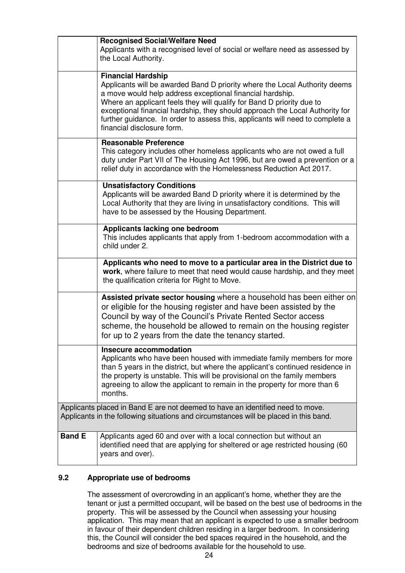|               | <b>Recognised Social/Welfare Need</b><br>Applicants with a recognised level of social or welfare need as assessed by<br>the Local Authority.                                                                                                                                                                                                                                                                                                 |
|---------------|----------------------------------------------------------------------------------------------------------------------------------------------------------------------------------------------------------------------------------------------------------------------------------------------------------------------------------------------------------------------------------------------------------------------------------------------|
|               | <b>Financial Hardship</b><br>Applicants will be awarded Band D priority where the Local Authority deems<br>a move would help address exceptional financial hardship.<br>Where an applicant feels they will qualify for Band D priority due to<br>exceptional financial hardship, they should approach the Local Authority for<br>further guidance. In order to assess this, applicants will need to complete a<br>financial disclosure form. |
|               | <b>Reasonable Preference</b><br>This category includes other homeless applicants who are not owed a full<br>duty under Part VII of The Housing Act 1996, but are owed a prevention or a<br>relief duty in accordance with the Homelessness Reduction Act 2017.                                                                                                                                                                               |
|               | <b>Unsatisfactory Conditions</b><br>Applicants will be awarded Band D priority where it is determined by the<br>Local Authority that they are living in unsatisfactory conditions. This will<br>have to be assessed by the Housing Department.                                                                                                                                                                                               |
|               | Applicants lacking one bedroom<br>This includes applicants that apply from 1-bedroom accommodation with a<br>child under 2.                                                                                                                                                                                                                                                                                                                  |
|               | Applicants who need to move to a particular area in the District due to<br>work, where failure to meet that need would cause hardship, and they meet<br>the qualification criteria for Right to Move.                                                                                                                                                                                                                                        |
|               | Assisted private sector housing where a household has been either on<br>or eligible for the housing register and have been assisted by the<br>Council by way of the Council's Private Rented Sector access<br>scheme, the household be allowed to remain on the housing register<br>for up to 2 years from the date the tenancy started.                                                                                                     |
|               | Insecure accommodation<br>Applicants who have been housed with immediate family members for more<br>than 5 years in the district, but where the applicant's continued residence in<br>the property is unstable. This will be provisional on the family members<br>agreeing to allow the applicant to remain in the property for more than 6<br>months.                                                                                       |
|               | Applicants placed in Band E are not deemed to have an identified need to move.<br>Applicants in the following situations and circumstances will be placed in this band.                                                                                                                                                                                                                                                                      |
| <b>Band E</b> | Applicants aged 60 and over with a local connection but without an<br>identified need that are applying for sheltered or age restricted housing (60<br>years and over).                                                                                                                                                                                                                                                                      |

# **9.2 Appropriate use of bedrooms**

The assessment of overcrowding in an applicant's home, whether they are the tenant or just a permitted occupant, will be based on the best use of bedrooms in the property. This will be assessed by the Council when assessing your housing application. This may mean that an applicant is expected to use a smaller bedroom in favour of their dependent children residing in a larger bedroom. In considering this, the Council will consider the bed spaces required in the household, and the bedrooms and size of bedrooms available for the household to use.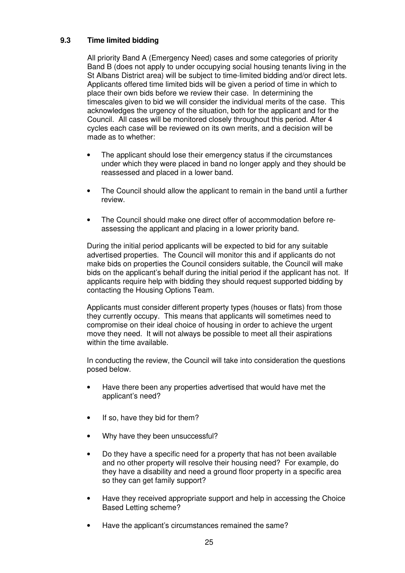# **9.3 Time limited bidding**

All priority Band A (Emergency Need) cases and some categories of priority Band B (does not apply to under occupying social housing tenants living in the St Albans District area) will be subject to time-limited bidding and/or direct lets. Applicants offered time limited bids will be given a period of time in which to place their own bids before we review their case. In determining the timescales given to bid we will consider the individual merits of the case. This acknowledges the urgency of the situation, both for the applicant and for the Council. All cases will be monitored closely throughout this period. After 4 cycles each case will be reviewed on its own merits, and a decision will be made as to whether:

- The applicant should lose their emergency status if the circumstances under which they were placed in band no longer apply and they should be reassessed and placed in a lower band.
- The Council should allow the applicant to remain in the band until a further review.
- The Council should make one direct offer of accommodation before reassessing the applicant and placing in a lower priority band.

During the initial period applicants will be expected to bid for any suitable advertised properties. The Council will monitor this and if applicants do not make bids on properties the Council considers suitable, the Council will make bids on the applicant's behalf during the initial period if the applicant has not. If applicants require help with bidding they should request supported bidding by contacting the Housing Options Team.

Applicants must consider different property types (houses or flats) from those they currently occupy. This means that applicants will sometimes need to compromise on their ideal choice of housing in order to achieve the urgent move they need. It will not always be possible to meet all their aspirations within the time available.

In conducting the review, the Council will take into consideration the questions posed below.

- Have there been any properties advertised that would have met the applicant's need?
- If so, have they bid for them?
- Why have they been unsuccessful?
- Do they have a specific need for a property that has not been available and no other property will resolve their housing need? For example, do they have a disability and need a ground floor property in a specific area so they can get family support?
- Have they received appropriate support and help in accessing the Choice Based Letting scheme?
- Have the applicant's circumstances remained the same?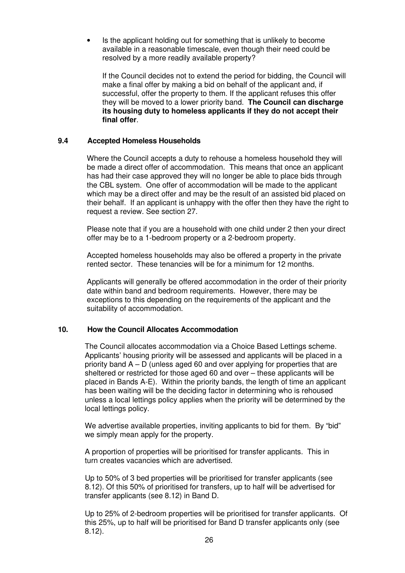Is the applicant holding out for something that is unlikely to become available in a reasonable timescale, even though their need could be resolved by a more readily available property?

If the Council decides not to extend the period for bidding, the Council will make a final offer by making a bid on behalf of the applicant and, if successful, offer the property to them. If the applicant refuses this offer they will be moved to a lower priority band. **The Council can discharge its housing duty to homeless applicants if they do not accept their final offer**.

## **9.4 Accepted Homeless Households**

 Where the Council accepts a duty to rehouse a homeless household they will be made a direct offer of accommodation. This means that once an applicant has had their case approved they will no longer be able to place bids through the CBL system. One offer of accommodation will be made to the applicant which may be a direct offer and may be the result of an assisted bid placed on their behalf. If an applicant is unhappy with the offer then they have the right to request a review. See section 27.

 Please note that if you are a household with one child under 2 then your direct offer may be to a 1-bedroom property or a 2-bedroom property.

 Accepted homeless households may also be offered a property in the private rented sector. These tenancies will be for a minimum for 12 months.

 Applicants will generally be offered accommodation in the order of their priority date within band and bedroom requirements. However, there may be exceptions to this depending on the requirements of the applicant and the suitability of accommodation.

## **10. How the Council Allocates Accommodation**

The Council allocates accommodation via a Choice Based Lettings scheme. Applicants' housing priority will be assessed and applicants will be placed in a priority band A – D (unless aged 60 and over applying for properties that are sheltered or restricted for those aged 60 and over – these applicants will be placed in Bands A-E). Within the priority bands, the length of time an applicant has been waiting will be the deciding factor in determining who is rehoused unless a local lettings policy applies when the priority will be determined by the local lettings policy.

We advertise available properties, inviting applicants to bid for them. By "bid" we simply mean apply for the property.

A proportion of properties will be prioritised for transfer applicants. This in turn creates vacancies which are advertised.

Up to 50% of 3 bed properties will be prioritised for transfer applicants (see 8.12). Of this 50% of prioritised for transfers, up to half will be advertised for transfer applicants (see 8.12) in Band D.

Up to 25% of 2-bedroom properties will be prioritised for transfer applicants. Of this 25%, up to half will be prioritised for Band D transfer applicants only (see 8.12).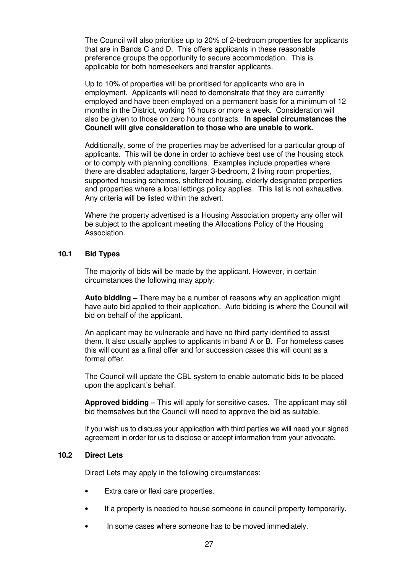The Council will also prioritise up to 20% of 2-bedroom properties for applicants that are in Bands C and D. This offers applicants in these reasonable preference groups the opportunity to secure accommodation. This is applicable for both homeseekers and transfer applicants.

Up to 10% of properties will be prioritised for applicants who are in employment. Applicants will need to demonstrate that they are currently employed and have been employed on a permanent basis for a minimum of 12 months in the District, working 16 hours or more a week. Consideration will also be given to those on zero hours contracts. **In special circumstances the Council will give consideration to those who are unable to work.**

Additionally, some of the properties may be advertised for a particular group of applicants. This will be done in order to achieve best use of the housing stock or to comply with planning conditions. Examples include properties where there are disabled adaptations, larger 3-bedroom, 2 living room properties, supported housing schemes, sheltered housing, elderly designated properties and properties where a local lettings policy applies. This list is not exhaustive. Any criteria will be listed within the advert.

Where the property advertised is a Housing Association property any offer will be subject to the applicant meeting the Allocations Policy of the Housing Association.

## **10.1 Bid Types**

The majority of bids will be made by the applicant. However, in certain circumstances the following may apply:

**Auto bidding –** There may be a number of reasons why an application might have auto bid applied to their application. Auto bidding is where the Council will bid on behalf of the applicant.

An applicant may be vulnerable and have no third party identified to assist them. It also usually applies to applicants in band A or B. For homeless cases this will count as a final offer and for succession cases this will count as a formal offer.

The Council will update the CBL system to enable automatic bids to be placed upon the applicant's behalf.

**Approved bidding –** This will apply for sensitive cases. The applicant may still bid themselves but the Council will need to approve the bid as suitable.

If you wish us to discuss your application with third parties we will need your signed agreement in order for us to disclose or accept information from your advocate.

## **10.2 Direct Lets**

Direct Lets may apply in the following circumstances:

- Extra care or flexi care properties.
- If a property is needed to house someone in council property temporarily.
- In some cases where someone has to be moved immediately.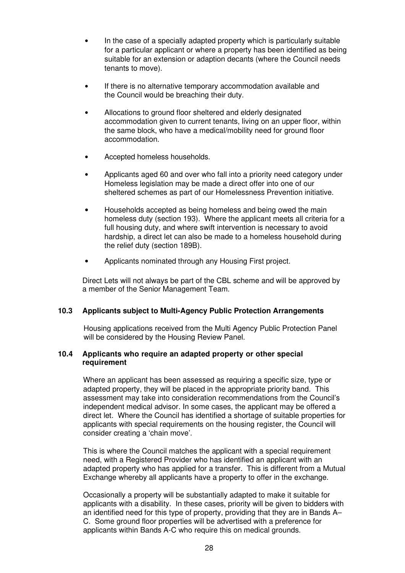- In the case of a specially adapted property which is particularly suitable for a particular applicant or where a property has been identified as being suitable for an extension or adaption decants (where the Council needs tenants to move).
- If there is no alternative temporary accommodation available and the Council would be breaching their duty.
- Allocations to ground floor sheltered and elderly designated accommodation given to current tenants, living on an upper floor, within the same block, who have a medical/mobility need for ground floor accommodation.
- Accepted homeless households.
- Applicants aged 60 and over who fall into a priority need category under Homeless legislation may be made a direct offer into one of our sheltered schemes as part of our Homelessness Prevention initiative.
- Households accepted as being homeless and being owed the main homeless duty (section 193). Where the applicant meets all criteria for a full housing duty, and where swift intervention is necessary to avoid hardship, a direct let can also be made to a homeless household during the relief duty (section 189B).
- Applicants nominated through any Housing First project.

Direct Lets will not always be part of the CBL scheme and will be approved by a member of the Senior Management Team.

# **10.3 Applicants subject to Multi-Agency Public Protection Arrangements**

Housing applications received from the Multi Agency Public Protection Panel will be considered by the Housing Review Panel.

#### **10.4 Applicants who require an adapted property or other special requirement**

Where an applicant has been assessed as requiring a specific size, type or adapted property, they will be placed in the appropriate priority band. This assessment may take into consideration recommendations from the Council's independent medical advisor. In some cases, the applicant may be offered a direct let. Where the Council has identified a shortage of suitable properties for applicants with special requirements on the housing register, the Council will consider creating a 'chain move'.

This is where the Council matches the applicant with a special requirement need, with a Registered Provider who has identified an applicant with an adapted property who has applied for a transfer. This is different from a Mutual Exchange whereby all applicants have a property to offer in the exchange.

Occasionally a property will be substantially adapted to make it suitable for applicants with a disability. In these cases, priority will be given to bidders with an identified need for this type of property, providing that they are in Bands A– C. Some ground floor properties will be advertised with a preference for applicants within Bands A-C who require this on medical grounds.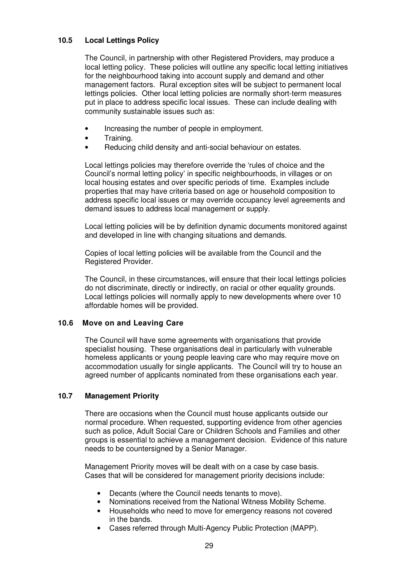## **10.5 Local Lettings Policy**

The Council, in partnership with other Registered Providers, may produce a local letting policy. These policies will outline any specific local letting initiatives for the neighbourhood taking into account supply and demand and other management factors. Rural exception sites will be subject to permanent local lettings policies. Other local letting policies are normally short-term measures put in place to address specific local issues. These can include dealing with community sustainable issues such as:

- Increasing the number of people in employment.
- Training.
- Reducing child density and anti-social behaviour on estates.

Local lettings policies may therefore override the 'rules of choice and the Council's normal letting policy' in specific neighbourhoods, in villages or on local housing estates and over specific periods of time. Examples include properties that may have criteria based on age or household composition to address specific local issues or may override occupancy level agreements and demand issues to address local management or supply.

Local letting policies will be by definition dynamic documents monitored against and developed in line with changing situations and demands.

Copies of local letting policies will be available from the Council and the Registered Provider.

The Council, in these circumstances, will ensure that their local lettings policies do not discriminate, directly or indirectly, on racial or other equality grounds. Local lettings policies will normally apply to new developments where over 10 affordable homes will be provided.

## **10.6 Move on and Leaving Care**

The Council will have some agreements with organisations that provide specialist housing. These organisations deal in particularly with vulnerable homeless applicants or young people leaving care who may require move on accommodation usually for single applicants. The Council will try to house an agreed number of applicants nominated from these organisations each year.

## **10.7 Management Priority**

There are occasions when the Council must house applicants outside our normal procedure. When requested, supporting evidence from other agencies such as police, Adult Social Care or Children Schools and Families and other groups is essential to achieve a management decision. Evidence of this nature needs to be countersigned by a Senior Manager.

Management Priority moves will be dealt with on a case by case basis. Cases that will be considered for management priority decisions include:

- Decants (where the Council needs tenants to move).
- Nominations received from the National Witness Mobility Scheme.
- Households who need to move for emergency reasons not covered in the bands.
- Cases referred through Multi-Agency Public Protection (MAPP).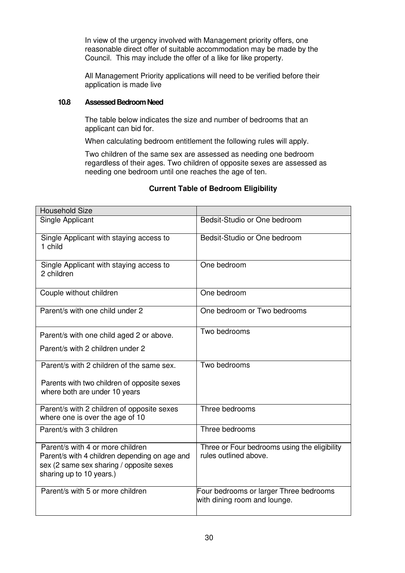In view of the urgency involved with Management priority offers, one reasonable direct offer of suitable accommodation may be made by the Council. This may include the offer of a like for like property.

All Management Priority applications will need to be verified before their application is made live

## **10.8 Assessed Bedroom Need**

The table below indicates the size and number of bedrooms that an applicant can bid for.

When calculating bedroom entitlement the following rules will apply.

Two children of the same sex are assessed as needing one bedroom regardless of their ages. Two children of opposite sexes are assessed as needing one bedroom until one reaches the age of ten.

| <b>Household Size</b>                                                                                                                                     |                                                                        |
|-----------------------------------------------------------------------------------------------------------------------------------------------------------|------------------------------------------------------------------------|
| Single Applicant                                                                                                                                          | Bedsit-Studio or One bedroom                                           |
| Single Applicant with staying access to<br>1 child                                                                                                        | Bedsit-Studio or One bedroom                                           |
| Single Applicant with staying access to<br>2 children                                                                                                     | One bedroom                                                            |
| Couple without children                                                                                                                                   | One bedroom                                                            |
| Parent/s with one child under 2                                                                                                                           | One bedroom or Two bedrooms                                            |
| Parent/s with one child aged 2 or above.                                                                                                                  | Two bedrooms                                                           |
| Parent/s with 2 children under 2                                                                                                                          |                                                                        |
| Parent/s with 2 children of the same sex.                                                                                                                 | Two bedrooms                                                           |
| Parents with two children of opposite sexes<br>where both are under 10 years                                                                              |                                                                        |
| Parent/s with 2 children of opposite sexes<br>where one is over the age of 10                                                                             | Three bedrooms                                                         |
| Parent/s with 3 children                                                                                                                                  | Three bedrooms                                                         |
| Parent/s with 4 or more children<br>Parent/s with 4 children depending on age and<br>sex (2 same sex sharing / opposite sexes<br>sharing up to 10 years.) | Three or Four bedrooms using the eligibility<br>rules outlined above.  |
| Parent/s with 5 or more children                                                                                                                          | Four bedrooms or larger Three bedrooms<br>with dining room and lounge. |

## **Current Table of Bedroom Eligibility**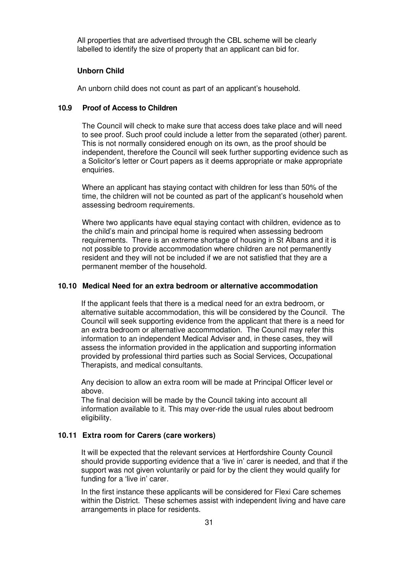All properties that are advertised through the CBL scheme will be clearly labelled to identify the size of property that an applicant can bid for.

#### **Unborn Child**

An unborn child does not count as part of an applicant's household.

#### **10.9 Proof of Access to Children**

The Council will check to make sure that access does take place and will need to see proof. Such proof could include a letter from the separated (other) parent. This is not normally considered enough on its own, as the proof should be independent, therefore the Council will seek further supporting evidence such as a Solicitor's letter or Court papers as it deems appropriate or make appropriate enquiries.

Where an applicant has staying contact with children for less than 50% of the time, the children will not be counted as part of the applicant's household when assessing bedroom requirements.

Where two applicants have equal staying contact with children, evidence as to the child's main and principal home is required when assessing bedroom requirements. There is an extreme shortage of housing in St Albans and it is not possible to provide accommodation where children are not permanently resident and they will not be included if we are not satisfied that they are a permanent member of the household.

#### **10.10 Medical Need for an extra bedroom or alternative accommodation**

If the applicant feels that there is a medical need for an extra bedroom, or alternative suitable accommodation, this will be considered by the Council. The Council will seek supporting evidence from the applicant that there is a need for an extra bedroom or alternative accommodation. The Council may refer this information to an independent Medical Adviser and, in these cases, they will assess the information provided in the application and supporting information provided by professional third parties such as Social Services, Occupational Therapists, and medical consultants.

Any decision to allow an extra room will be made at Principal Officer level or above.

The final decision will be made by the Council taking into account all information available to it. This may over-ride the usual rules about bedroom eligibility.

#### **10.11 Extra room for Carers (care workers)**

It will be expected that the relevant services at Hertfordshire County Council should provide supporting evidence that a 'live in' carer is needed, and that if the support was not given voluntarily or paid for by the client they would qualify for funding for a 'live in' carer.

In the first instance these applicants will be considered for Flexi Care schemes within the District. These schemes assist with independent living and have care arrangements in place for residents.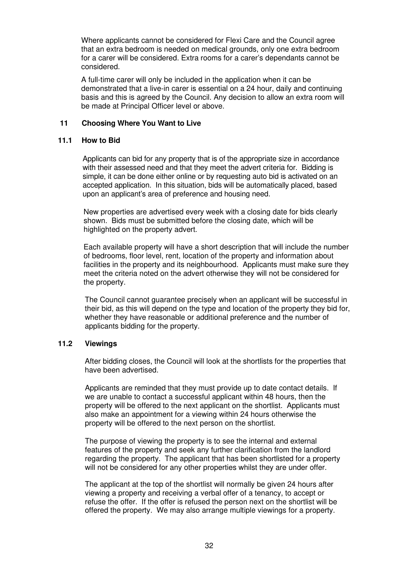Where applicants cannot be considered for Flexi Care and the Council agree that an extra bedroom is needed on medical grounds, only one extra bedroom for a carer will be considered. Extra rooms for a carer's dependants cannot be considered.

A full-time carer will only be included in the application when it can be demonstrated that a live-in carer is essential on a 24 hour, daily and continuing basis and this is agreed by the Council. Any decision to allow an extra room will be made at Principal Officer level or above.

#### **11 Choosing Where You Want to Live**

#### **11.1 How to Bid**

Applicants can bid for any property that is of the appropriate size in accordance with their assessed need and that they meet the advert criteria for. Bidding is simple, it can be done either online or by requesting auto bid is activated on an accepted application. In this situation, bids will be automatically placed, based upon an applicant's area of preference and housing need.

New properties are advertised every week with a closing date for bids clearly shown. Bids must be submitted before the closing date, which will be highlighted on the property advert.

Each available property will have a short description that will include the number of bedrooms, floor level, rent, location of the property and information about facilities in the property and its neighbourhood. Applicants must make sure they meet the criteria noted on the advert otherwise they will not be considered for the property.

The Council cannot guarantee precisely when an applicant will be successful in their bid, as this will depend on the type and location of the property they bid for, whether they have reasonable or additional preference and the number of applicants bidding for the property.

## **11.2 Viewings**

After bidding closes, the Council will look at the shortlists for the properties that have been advertised.

Applicants are reminded that they must provide up to date contact details. If we are unable to contact a successful applicant within 48 hours, then the property will be offered to the next applicant on the shortlist. Applicants must also make an appointment for a viewing within 24 hours otherwise the property will be offered to the next person on the shortlist.

The purpose of viewing the property is to see the internal and external features of the property and seek any further clarification from the landlord regarding the property. The applicant that has been shortlisted for a property will not be considered for any other properties whilst they are under offer.

The applicant at the top of the shortlist will normally be given 24 hours after viewing a property and receiving a verbal offer of a tenancy, to accept or refuse the offer. If the offer is refused the person next on the shortlist will be offered the property. We may also arrange multiple viewings for a property.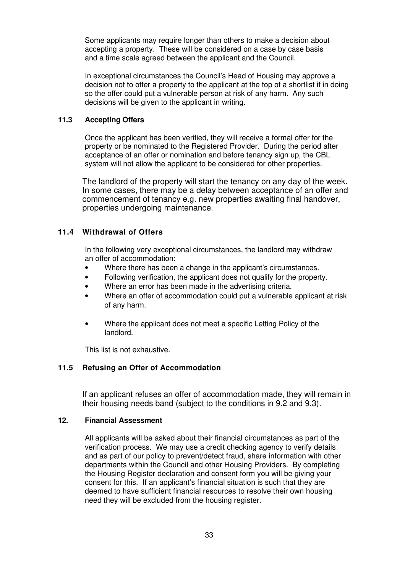Some applicants may require longer than others to make a decision about accepting a property. These will be considered on a case by case basis and a time scale agreed between the applicant and the Council.

In exceptional circumstances the Council's Head of Housing may approve a decision not to offer a property to the applicant at the top of a shortlist if in doing so the offer could put a vulnerable person at risk of any harm. Any such decisions will be given to the applicant in writing.

## **11.3 Accepting Offers**

Once the applicant has been verified, they will receive a formal offer for the property or be nominated to the Registered Provider. During the period after acceptance of an offer or nomination and before tenancy sign up, the CBL system will not allow the applicant to be considered for other properties.

The landlord of the property will start the tenancy on any day of the week. In some cases, there may be a delay between acceptance of an offer and commencement of tenancy e.g. new properties awaiting final handover, properties undergoing maintenance.

# **11.4 Withdrawal of Offers**

In the following very exceptional circumstances, the landlord may withdraw an offer of accommodation:

- Where there has been a change in the applicant's circumstances.
- Following verification, the applicant does not qualify for the property.
- Where an error has been made in the advertising criteria.
- Where an offer of accommodation could put a vulnerable applicant at risk of any harm.
- Where the applicant does not meet a specific Letting Policy of the landlord.

This list is not exhaustive.

# **11.5 Refusing an Offer of Accommodation**

If an applicant refuses an offer of accommodation made, they will remain in their housing needs band (subject to the conditions in 9.2 and 9.3).

## **12. Financial Assessment**

All applicants will be asked about their financial circumstances as part of the verification process. We may use a credit checking agency to verify details and as part of our policy to prevent/detect fraud, share information with other departments within the Council and other Housing Providers. By completing the Housing Register declaration and consent form you will be giving your consent for this. If an applicant's financial situation is such that they are deemed to have sufficient financial resources to resolve their own housing need they will be excluded from the housing register.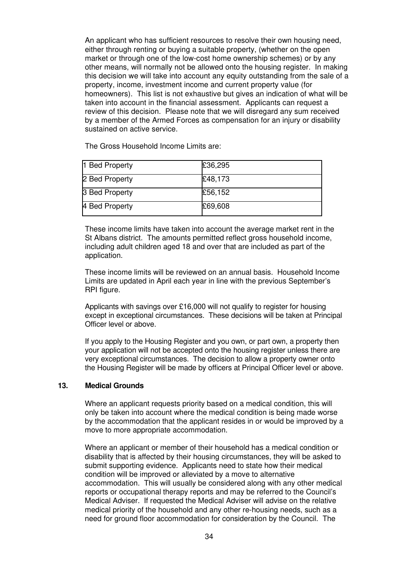An applicant who has sufficient resources to resolve their own housing need, either through renting or buying a suitable property, (whether on the open market or through one of the low-cost home ownership schemes) or by any other means, will normally not be allowed onto the housing register. In making this decision we will take into account any equity outstanding from the sale of a property, income, investment income and current property value (for homeowners). This list is not exhaustive but gives an indication of what will be taken into account in the financial assessment. Applicants can request a review of this decision. Please note that we will disregard any sum received by a member of the Armed Forces as compensation for an injury or disability sustained on active service.

The Gross Household Income Limits are:

| 1 Bed Property | £36,295 |
|----------------|---------|
| 2 Bed Property | £48,173 |
| 3 Bed Property | £56,152 |
| 4 Bed Property | £69,608 |

These income limits have taken into account the average market rent in the St Albans district. The amounts permitted reflect gross household income, including adult children aged 18 and over that are included as part of the application.

These income limits will be reviewed on an annual basis. Household Income Limits are updated in April each year in line with the previous September's RPI figure.

Applicants with savings over £16,000 will not qualify to register for housing except in exceptional circumstances. These decisions will be taken at Principal Officer level or above.

If you apply to the Housing Register and you own, or part own, a property then your application will not be accepted onto the housing register unless there are very exceptional circumstances. The decision to allow a property owner onto the Housing Register will be made by officers at Principal Officer level or above.

## **13. Medical Grounds**

Where an applicant requests priority based on a medical condition, this will only be taken into account where the medical condition is being made worse by the accommodation that the applicant resides in or would be improved by a move to more appropriate accommodation.

Where an applicant or member of their household has a medical condition or disability that is affected by their housing circumstances, they will be asked to submit supporting evidence. Applicants need to state how their medical condition will be improved or alleviated by a move to alternative accommodation. This will usually be considered along with any other medical reports or occupational therapy reports and may be referred to the Council's Medical Adviser. If requested the Medical Adviser will advise on the relative medical priority of the household and any other re-housing needs, such as a need for ground floor accommodation for consideration by the Council. The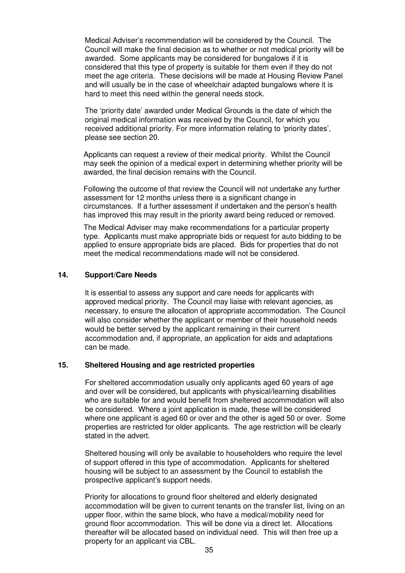Medical Adviser's recommendation will be considered by the Council. The Council will make the final decision as to whether or not medical priority will be awarded. Some applicants may be considered for bungalows if it is considered that this type of property is suitable for them even if they do not meet the age criteria. These decisions will be made at Housing Review Panel and will usually be in the case of wheelchair adapted bungalows where it is hard to meet this need within the general needs stock.

The 'priority date' awarded under Medical Grounds is the date of which the original medical information was received by the Council, for which you received additional priority. For more information relating to 'priority dates', please see section 20.

Applicants can request a review of their medical priority. Whilst the Council may seek the opinion of a medical expert in determining whether priority will be awarded, the final decision remains with the Council.

Following the outcome of that review the Council will not undertake any further assessment for 12 months unless there is a significant change in circumstances. If a further assessment if undertaken and the person's health has improved this may result in the priority award being reduced or removed.

The Medical Adviser may make recommendations for a particular property type. Applicants must make appropriate bids or request for auto bidding to be applied to ensure appropriate bids are placed. Bids for properties that do not meet the medical recommendations made will not be considered.

## **14. Support/Care Needs**

It is essential to assess any support and care needs for applicants with approved medical priority. The Council may liaise with relevant agencies, as necessary, to ensure the allocation of appropriate accommodation. The Council will also consider whether the applicant or member of their household needs would be better served by the applicant remaining in their current accommodation and, if appropriate, an application for aids and adaptations can be made.

#### **15. Sheltered Housing and age restricted properties**

For sheltered accommodation usually only applicants aged 60 years of age and over will be considered, but applicants with physical/learning disabilities who are suitable for and would benefit from sheltered accommodation will also be considered. Where a joint application is made, these will be considered where one applicant is aged 60 or over and the other is aged 50 or over. Some properties are restricted for older applicants. The age restriction will be clearly stated in the advert.

Sheltered housing will only be available to householders who require the level of support offered in this type of accommodation. Applicants for sheltered housing will be subject to an assessment by the Council to establish the prospective applicant's support needs.

Priority for allocations to ground floor sheltered and elderly designated accommodation will be given to current tenants on the transfer list, living on an upper floor, within the same block, who have a medical/mobility need for ground floor accommodation. This will be done via a direct let. Allocations thereafter will be allocated based on individual need. This will then free up a property for an applicant via CBL.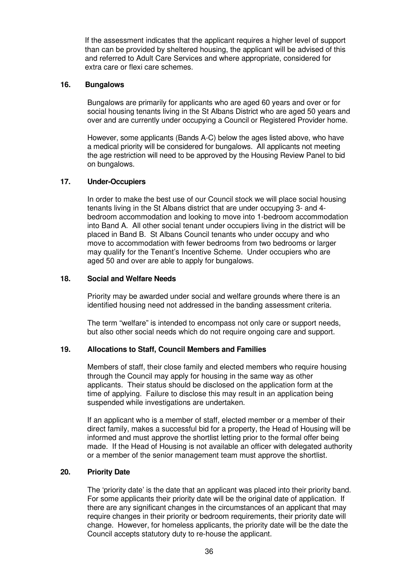If the assessment indicates that the applicant requires a higher level of support than can be provided by sheltered housing, the applicant will be advised of this and referred to Adult Care Services and where appropriate, considered for extra care or flexi care schemes.

#### **16. Bungalows**

Bungalows are primarily for applicants who are aged 60 years and over or for social housing tenants living in the St Albans District who are aged 50 years and over and are currently under occupying a Council or Registered Provider home.

However, some applicants (Bands A-C) below the ages listed above, who have a medical priority will be considered for bungalows. All applicants not meeting the age restriction will need to be approved by the Housing Review Panel to bid on bungalows.

## **17. Under-Occupiers**

In order to make the best use of our Council stock we will place social housing tenants living in the St Albans district that are under occupying 3- and 4 bedroom accommodation and looking to move into 1-bedroom accommodation into Band A. All other social tenant under occupiers living in the district will be placed in Band B. St Albans Council tenants who under occupy and who move to accommodation with fewer bedrooms from two bedrooms or larger may qualify for the Tenant's Incentive Scheme. Under occupiers who are aged 50 and over are able to apply for bungalows.

#### **18. Social and Welfare Needs**

Priority may be awarded under social and welfare grounds where there is an identified housing need not addressed in the banding assessment criteria.

The term "welfare" is intended to encompass not only care or support needs, but also other social needs which do not require ongoing care and support.

## **19. Allocations to Staff, Council Members and Families**

Members of staff, their close family and elected members who require housing through the Council may apply for housing in the same way as other applicants. Their status should be disclosed on the application form at the time of applying. Failure to disclose this may result in an application being suspended while investigations are undertaken.

If an applicant who is a member of staff, elected member or a member of their direct family, makes a successful bid for a property, the Head of Housing will be informed and must approve the shortlist letting prior to the formal offer being made. If the Head of Housing is not available an officer with delegated authority or a member of the senior management team must approve the shortlist.

#### **20. Priority Date**

The 'priority date' is the date that an applicant was placed into their priority band. For some applicants their priority date will be the original date of application. If there are any significant changes in the circumstances of an applicant that may require changes in their priority or bedroom requirements, their priority date will change. However, for homeless applicants, the priority date will be the date the Council accepts statutory duty to re-house the applicant.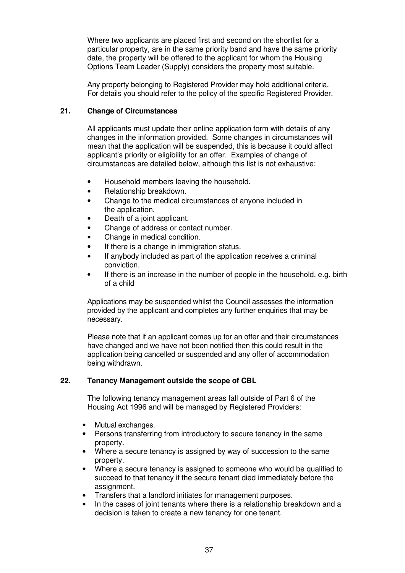Where two applicants are placed first and second on the shortlist for a particular property, are in the same priority band and have the same priority date, the property will be offered to the applicant for whom the Housing Options Team Leader (Supply) considers the property most suitable.

Any property belonging to Registered Provider may hold additional criteria. For details you should refer to the policy of the specific Registered Provider.

# **21. Change of Circumstances**

All applicants must update their online application form with details of any changes in the information provided. Some changes in circumstances will mean that the application will be suspended, this is because it could affect applicant's priority or eligibility for an offer. Examples of change of circumstances are detailed below, although this list is not exhaustive:

- Household members leaving the household.
- Relationship breakdown.
- Change to the medical circumstances of anyone included in the application.
- Death of a joint applicant.
- Change of address or contact number.
- Change in medical condition.
- If there is a change in immigration status.
- If anybody included as part of the application receives a criminal conviction.
- If there is an increase in the number of people in the household, e.g. birth of a child

Applications may be suspended whilst the Council assesses the information provided by the applicant and completes any further enquiries that may be necessary.

Please note that if an applicant comes up for an offer and their circumstances have changed and we have not been notified then this could result in the application being cancelled or suspended and any offer of accommodation being withdrawn.

## **22. Tenancy Management outside the scope of CBL**

The following tenancy management areas fall outside of Part 6 of the Housing Act 1996 and will be managed by Registered Providers:

- Mutual exchanges.
- Persons transferring from introductory to secure tenancy in the same property.
- Where a secure tenancy is assigned by way of succession to the same property.
- Where a secure tenancy is assigned to someone who would be qualified to succeed to that tenancy if the secure tenant died immediately before the assignment.
- Transfers that a landlord initiates for management purposes.
- In the cases of joint tenants where there is a relationship breakdown and a decision is taken to create a new tenancy for one tenant.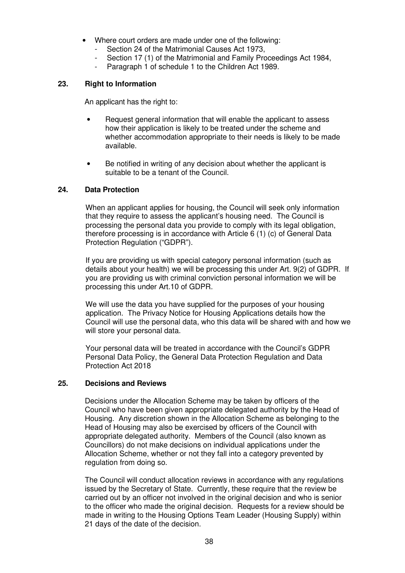- Where court orders are made under one of the following:
	- Section 24 of the Matrimonial Causes Act 1973.
	- Section 17 (1) of the Matrimonial and Family Proceedings Act 1984,
	- Paragraph 1 of schedule 1 to the Children Act 1989.

## **23. Right to Information**

An applicant has the right to:

- Request general information that will enable the applicant to assess how their application is likely to be treated under the scheme and whether accommodation appropriate to their needs is likely to be made available.
- Be notified in writing of any decision about whether the applicant is suitable to be a tenant of the Council.

## **24. Data Protection**

When an applicant applies for housing, the Council will seek only information that they require to assess the applicant's housing need. The Council is processing the personal data you provide to comply with its legal obligation, therefore processing is in accordance with Article 6 (1) (c) of General Data Protection Regulation ("GDPR").

If you are providing us with special category personal information (such as details about your health) we will be processing this under Art. 9(2) of GDPR. If you are providing us with criminal conviction personal information we will be processing this under Art.10 of GDPR.

We will use the data you have supplied for the purposes of your housing application. The Privacy Notice for Housing Applications details how the Council will use the personal data, who this data will be shared with and how we will store your personal data.

Your personal data will be treated in accordance with the Council's GDPR Personal Data Policy, the General Data Protection Regulation and Data Protection Act 2018

## **25. Decisions and Reviews**

Decisions under the Allocation Scheme may be taken by officers of the Council who have been given appropriate delegated authority by the Head of Housing. Any discretion shown in the Allocation Scheme as belonging to the Head of Housing may also be exercised by officers of the Council with appropriate delegated authority. Members of the Council (also known as Councillors) do not make decisions on individual applications under the Allocation Scheme, whether or not they fall into a category prevented by regulation from doing so.

The Council will conduct allocation reviews in accordance with any regulations issued by the Secretary of State. Currently, these require that the review be carried out by an officer not involved in the original decision and who is senior to the officer who made the original decision. Requests for a review should be made in writing to the Housing Options Team Leader (Housing Supply) within 21 days of the date of the decision.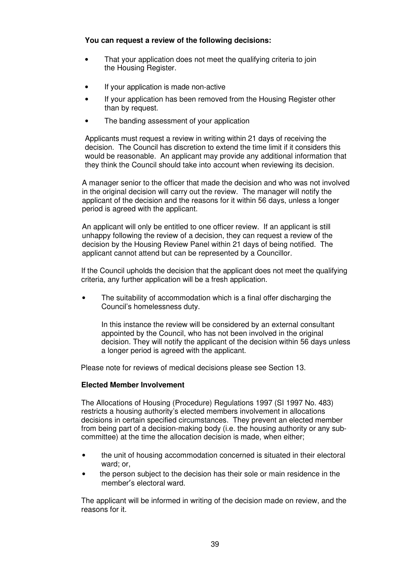## **You can request a review of the following decisions:**

- That your application does not meet the qualifying criteria to join the Housing Register.
- If your application is made non-active
- If your application has been removed from the Housing Register other than by request.
- The banding assessment of your application

Applicants must request a review in writing within 21 days of receiving the decision. The Council has discretion to extend the time limit if it considers this would be reasonable. An applicant may provide any additional information that they think the Council should take into account when reviewing its decision.

A manager senior to the officer that made the decision and who was not involved in the original decision will carry out the review. The manager will notify the applicant of the decision and the reasons for it within 56 days, unless a longer period is agreed with the applicant.

An applicant will only be entitled to one officer review. If an applicant is still unhappy following the review of a decision, they can request a review of the decision by the Housing Review Panel within 21 days of being notified. The applicant cannot attend but can be represented by a Councillor.

If the Council upholds the decision that the applicant does not meet the qualifying criteria, any further application will be a fresh application.

• The suitability of accommodation which is a final offer discharging the Council's homelessness duty.

In this instance the review will be considered by an external consultant appointed by the Council, who has not been involved in the original decision. They will notify the applicant of the decision within 56 days unless a longer period is agreed with the applicant.

Please note for reviews of medical decisions please see Section 13.

# **Elected Member Involvement**

The Allocations of Housing (Procedure) Regulations 1997 (SI 1997 No. 483) restricts a housing authority's elected members involvement in allocations decisions in certain specified circumstances. They prevent an elected member from being part of a decision-making body (i.e. the housing authority or any subcommittee) at the time the allocation decision is made, when either;

- the unit of housing accommodation concerned is situated in their electoral ward; or,
- the person subject to the decision has their sole or main residence in the member's electoral ward.

The applicant will be informed in writing of the decision made on review, and the reasons for it.